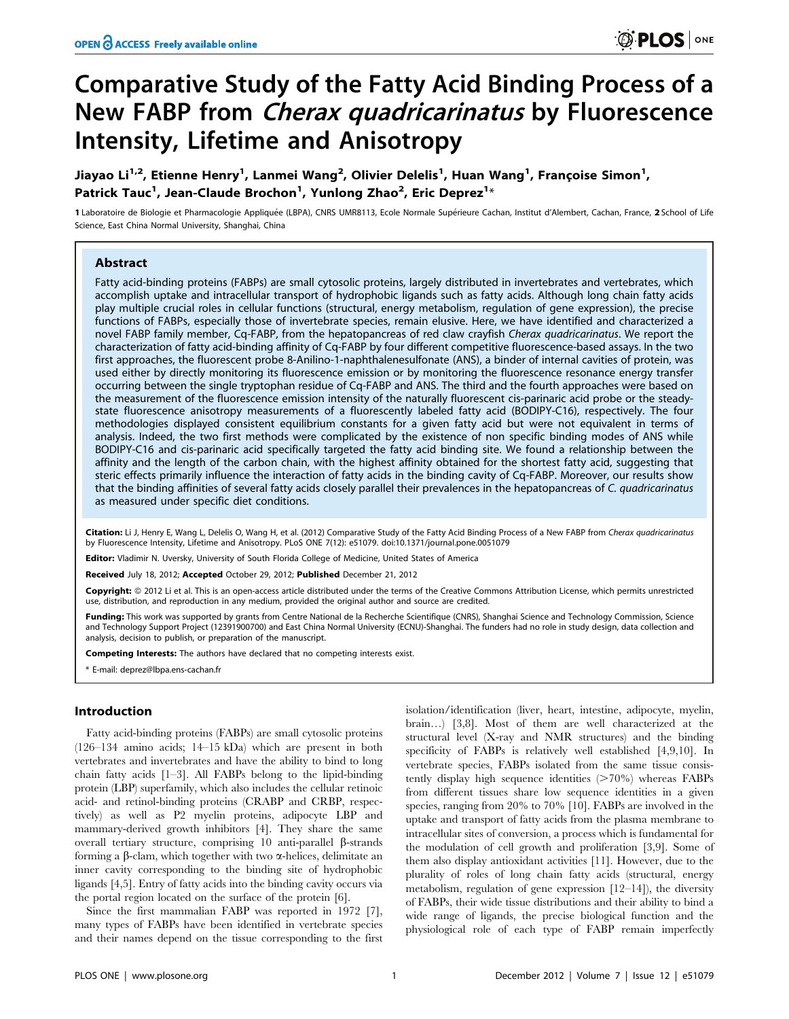# Comparative Study of the Fatty Acid Binding Process of a New FABP from Cherax quadricarinatus by Fluorescence Intensity, Lifetime and Anisotropy

Jiayao Li<sup>1,2</sup>, Etienne Henry<sup>1</sup>, Lanmei Wang<sup>2</sup>, Olivier Delelis<sup>1</sup>, Huan Wang<sup>1</sup>, Françoise Simon<sup>1</sup>, Patrick Tauc<sup>1</sup>, Jean-Claude Brochon<sup>1</sup>, Yunlong Zhao<sup>2</sup>, Eric Deprez<sup>1</sup>\*

1 Laboratoire de Biologie et Pharmacologie Appliquée (LBPA), CNRS UMR8113, Ecole Normale Supérieure Cachan, Institut d'Alembert, Cachan, France, 2 School of Life Science, East China Normal University, Shanghai, China

# Abstract

Fatty acid-binding proteins (FABPs) are small cytosolic proteins, largely distributed in invertebrates and vertebrates, which accomplish uptake and intracellular transport of hydrophobic ligands such as fatty acids. Although long chain fatty acids play multiple crucial roles in cellular functions (structural, energy metabolism, regulation of gene expression), the precise functions of FABPs, especially those of invertebrate species, remain elusive. Here, we have identified and characterized a novel FABP family member, Cq-FABP, from the hepatopancreas of red claw crayfish Cherax quadricarinatus. We report the characterization of fatty acid-binding affinity of Cq-FABP by four different competitive fluorescence-based assays. In the two first approaches, the fluorescent probe 8-Anilino-1-naphthalenesulfonate (ANS), a binder of internal cavities of protein, was used either by directly monitoring its fluorescence emission or by monitoring the fluorescence resonance energy transfer occurring between the single tryptophan residue of Cq-FABP and ANS. The third and the fourth approaches were based on the measurement of the fluorescence emission intensity of the naturally fluorescent cis-parinaric acid probe or the steadystate fluorescence anisotropy measurements of a fluorescently labeled fatty acid (BODIPY-C16), respectively. The four methodologies displayed consistent equilibrium constants for a given fatty acid but were not equivalent in terms of analysis. Indeed, the two first methods were complicated by the existence of non specific binding modes of ANS while BODIPY-C16 and cis-parinaric acid specifically targeted the fatty acid binding site. We found a relationship between the affinity and the length of the carbon chain, with the highest affinity obtained for the shortest fatty acid, suggesting that steric effects primarily influence the interaction of fatty acids in the binding cavity of Cq-FABP. Moreover, our results show that the binding affinities of several fatty acids closely parallel their prevalences in the hepatopancreas of C. quadricarinatus as measured under specific diet conditions.

Citation: Li J, Henry E, Wang L, Delelis O, Wang H, et al. (2012) Comparative Study of the Fatty Acid Binding Process of a New FABP from Cherax quadricarinatus by Fluorescence Intensity, Lifetime and Anisotropy. PLoS ONE 7(12): e51079. doi:10.1371/journal.pone.0051079

Editor: Vladimir N. Uversky, University of South Florida College of Medicine, United States of America

Received July 18, 2012; Accepted October 29, 2012; Published December 21, 2012

Copyright: © 2012 Li et al. This is an open-access article distributed under the terms of the Creative Commons Attribution License, which permits unrestricted use, distribution, and reproduction in any medium, provided the original author and source are credited.

Funding: This work was supported by grants from Centre National de la Recherche Scientifique (CNRS), Shanghai Science and Technology Commission, Science and Technology Support Project (12391900700) and East China Normal University (ECNU)-Shanghai. The funders had no role in study design, data collection and analysis, decision to publish, or preparation of the manuscript.

Competing Interests: The authors have declared that no competing interests exist.

\* E-mail: deprez@lbpa.ens-cachan.fr

#### Introduction

Fatty acid-binding proteins (FABPs) are small cytosolic proteins (126–134 amino acids; 14–15 kDa) which are present in both vertebrates and invertebrates and have the ability to bind to long chain fatty acids [1–3]. All FABPs belong to the lipid-binding protein (LBP) superfamily, which also includes the cellular retinoic acid- and retinol-binding proteins (CRABP and CRBP, respectively) as well as P2 myelin proteins, adipocyte LBP and mammary-derived growth inhibitors [4]. They share the same overall tertiary structure, comprising 10 anti-parallel  $\beta$ -strands forming a  $\beta$ -clam, which together with two  $\alpha$ -helices, delimitate an inner cavity corresponding to the binding site of hydrophobic ligands [4,5]. Entry of fatty acids into the binding cavity occurs via the portal region located on the surface of the protein [6].

Since the first mammalian FABP was reported in 1972 [7], many types of FABPs have been identified in vertebrate species and their names depend on the tissue corresponding to the first

isolation/identification (liver, heart, intestine, adipocyte, myelin, brain…) [3,8]. Most of them are well characterized at the structural level (X-ray and NMR structures) and the binding specificity of FABPs is relatively well established [4,9,10]. In vertebrate species, FABPs isolated from the same tissue consistently display high sequence identities  $(>\!\!70\%)$  whereas FABPs from different tissues share low sequence identities in a given species, ranging from 20% to 70% [10]. FABPs are involved in the uptake and transport of fatty acids from the plasma membrane to intracellular sites of conversion, a process which is fundamental for the modulation of cell growth and proliferation [3,9]. Some of them also display antioxidant activities [11]. However, due to the plurality of roles of long chain fatty acids (structural, energy metabolism, regulation of gene expression [12–14]), the diversity of FABPs, their wide tissue distributions and their ability to bind a wide range of ligands, the precise biological function and the physiological role of each type of FABP remain imperfectly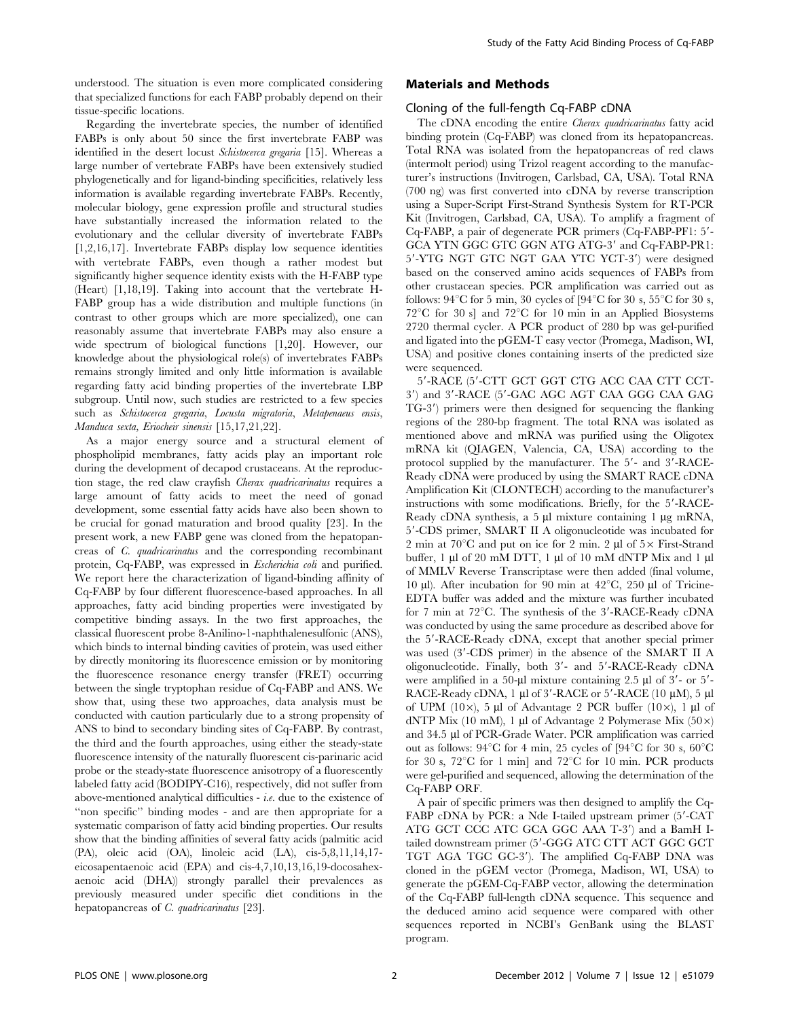understood. The situation is even more complicated considering that specialized functions for each FABP probably depend on their tissue-specific locations.

Regarding the invertebrate species, the number of identified FABPs is only about 50 since the first invertebrate FABP was identified in the desert locust Schistocerca gregaria [15]. Whereas a large number of vertebrate FABPs have been extensively studied phylogenetically and for ligand-binding specificities, relatively less information is available regarding invertebrate FABPs. Recently, molecular biology, gene expression profile and structural studies have substantially increased the information related to the evolutionary and the cellular diversity of invertebrate FABPs [1,2,16,17]. Invertebrate FABPs display low sequence identities with vertebrate FABPs, even though a rather modest but significantly higher sequence identity exists with the H-FABP type (Heart) [1,18,19]. Taking into account that the vertebrate H-FABP group has a wide distribution and multiple functions (in contrast to other groups which are more specialized), one can reasonably assume that invertebrate FABPs may also ensure a wide spectrum of biological functions [1,20]. However, our knowledge about the physiological role(s) of invertebrates FABPs remains strongly limited and only little information is available regarding fatty acid binding properties of the invertebrate LBP subgroup. Until now, such studies are restricted to a few species such as Schistocerca gregaria, Locusta migratoria, Metapenaeus ensis, Manduca sexta, Eriocheir sinensis [15,17,21,22].

As a major energy source and a structural element of phospholipid membranes, fatty acids play an important role during the development of decapod crustaceans. At the reproduction stage, the red claw crayfish Cherax quadricarinatus requires a large amount of fatty acids to meet the need of gonad development, some essential fatty acids have also been shown to be crucial for gonad maturation and brood quality [23]. In the present work, a new FABP gene was cloned from the hepatopancreas of C. quadricarinatus and the corresponding recombinant protein, Cq-FABP, was expressed in Escherichia coli and purified. We report here the characterization of ligand-binding affinity of Cq-FABP by four different fluorescence-based approaches. In all approaches, fatty acid binding properties were investigated by competitive binding assays. In the two first approaches, the classical fluorescent probe 8-Anilino-1-naphthalenesulfonic (ANS), which binds to internal binding cavities of protein, was used either by directly monitoring its fluorescence emission or by monitoring the fluorescence resonance energy transfer (FRET) occurring between the single tryptophan residue of Cq-FABP and ANS. We show that, using these two approaches, data analysis must be conducted with caution particularly due to a strong propensity of ANS to bind to secondary binding sites of Cq-FABP. By contrast, the third and the fourth approaches, using either the steady-state fluorescence intensity of the naturally fluorescent cis-parinaric acid probe or the steady-state fluorescence anisotropy of a fluorescently labeled fatty acid (BODIPY-C16), respectively, did not suffer from above-mentioned analytical difficulties -  $i.e.$  due to the existence of ''non specific'' binding modes - and are then appropriate for a systematic comparison of fatty acid binding properties. Our results show that the binding affinities of several fatty acids (palmitic acid (PA), oleic acid (OA), linoleic acid (LA), cis-5,8,11,14,17 eicosapentaenoic acid (EPA) and cis-4,7,10,13,16,19-docosahexaenoic acid (DHA)) strongly parallel their prevalences as previously measured under specific diet conditions in the hepatopancreas of *C. quadricarinatus* [23].

# Materials and Methods

#### Cloning of the full-fength Cq-FABP cDNA

The cDNA encoding the entire Cherax quadricarinatus fatty acid binding protein (Cq-FABP) was cloned from its hepatopancreas. Total RNA was isolated from the hepatopancreas of red claws (intermolt period) using Trizol reagent according to the manufacturer's instructions (Invitrogen, Carlsbad, CA, USA). Total RNA (700 ng) was first converted into cDNA by reverse transcription using a Super-Script First-Strand Synthesis System for RT-PCR Kit (Invitrogen, Carlsbad, CA, USA). To amplify a fragment of Cq-FABP, a pair of degenerate PCR primers (Cq-FABP-PF1: 5'-GCA YTN GGC GTC GGN ATG ATG-3' and Cq-FABP-PR1: 5'-YTG NGT GTC NGT GAA YTC YCT-3') were designed based on the conserved amino acids sequences of FABPs from other crustacean species. PCR amplification was carried out as follows:  $94^{\circ}$ C for 5 min, 30 cycles of [ $94^{\circ}$ C for 30 s, 55 $^{\circ}$ C for 30 s,  $72^{\circ}$ C for 30 s] and  $72^{\circ}$ C for 10 min in an Applied Biosystems 2720 thermal cycler. A PCR product of 280 bp was gel-purified and ligated into the pGEM-T easy vector (Promega, Madison, WI, USA) and positive clones containing inserts of the predicted size were sequenced.

5'-RACE (5'-CTT GCT GGT CTG ACC CAA CTT CCT-3') and 3'-RACE (5'-GAC AGC AGT CAA GGG CAA GAG TG-3') primers were then designed for sequencing the flanking regions of the 280-bp fragment. The total RNA was isolated as mentioned above and mRNA was purified using the Oligotex mRNA kit (QIAGEN, Valencia, CA, USA) according to the protocol supplied by the manufacturer. The 5'- and 3'-RACE-Ready cDNA were produced by using the SMART RACE cDNA Amplification Kit (CLONTECH) according to the manufacturer's instructions with some modifications. Briefly, for the 5'-RACE-Ready cDNA synthesis, a  $5 \mu l$  mixture containing 1  $\mu$ g mRNA, 59-CDS primer, SMART II A oligonucleotide was incubated for 2 min at 70 $^{\circ}$ C and put on ice for 2 min. 2 µl of 5 $\times$  First-Strand buffer,  $1 \mu l$  of  $20 \mu M$  DTT,  $1 \mu l$  of  $10 \mu M$  dNTP Mix and  $1 \mu l$ of MMLV Reverse Transcriptase were then added (final volume, 10 µl). After incubation for 90 min at  $42^{\circ}$ C, 250 µl of Tricine-EDTA buffer was added and the mixture was further incubated for 7 min at 72 $^{\circ}$ C. The synthesis of the 3'-RACE-Ready cDNA was conducted by using the same procedure as described above for the 5'-RACE-Ready cDNA, except that another special primer was used (3'-CDS primer) in the absence of the SMART II A oligonucleotide. Finally, both 3'- and 5'-RACE-Ready cDNA were amplified in a 50-µl mixture containing  $2.5$  µl of  $3'$ - or  $5'$ -RACE-Ready cDNA, 1  $\mu$ l of 3'-RACE or 5'-RACE (10  $\mu$ M), 5  $\mu$ l of UPM (10 $\times$ ), 5 µl of Advantage 2 PCR buffer (10 $\times$ ), 1 µl of dNTP Mix (10 mM), 1 µl of Advantage 2 Polymerase Mix (50 $\times$ ) and 34.5 µl of PCR-Grade Water. PCR amplification was carried out as follows:  $94^{\circ}$ C for 4 min, 25 cycles of [ $94^{\circ}$ C for 30 s,  $60^{\circ}$ C for 30 s,  $72^{\circ}$ C for 1 min] and  $72^{\circ}$ C for 10 min. PCR products were gel-purified and sequenced, allowing the determination of the Cq-FABP ORF.

A pair of specific primers was then designed to amplify the Cq-FABP cDNA by PCR: a Nde I-tailed upstream primer (5'-CAT ATG GCT CCC ATC GCA GGC AAA T-3') and a BamH Itailed downstream primer (5'-GGG ATC CTT ACT GGC GCT TGT AGA TGC GC-3'). The amplified Cq-FABP DNA was cloned in the pGEM vector (Promega, Madison, WI, USA) to generate the pGEM-Cq-FABP vector, allowing the determination of the Cq-FABP full-length cDNA sequence. This sequence and the deduced amino acid sequence were compared with other sequences reported in NCBI's GenBank using the BLAST program.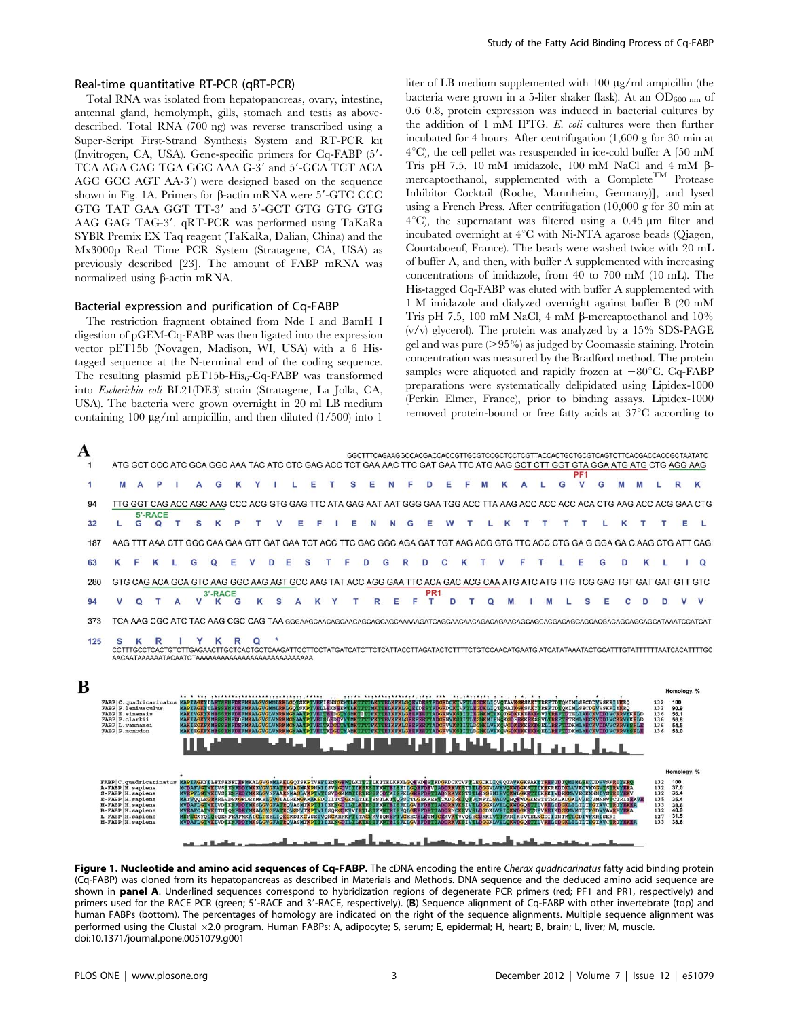## Real-time quantitative RT-PCR (qRT-PCR)

Total RNA was isolated from hepatopancreas, ovary, intestine, antennal gland, hemolymph, gills, stomach and testis as abovedescribed. Total RNA (700 ng) was reverse transcribed using a Super-Script First-Strand Synthesis System and RT-PCR kit (Invitrogen, CA, USA). Gene-specific primers for Cq-FABP (5'-TCA AGA CAG TGA GGC AAA G-3' and 5'-GCA TCT ACA AGC GCC AGT AA-3') were designed based on the sequence shown in Fig. 1A. Primers for  $\beta$ -actin mRNA were 5'-GTC CCC GTG TAT GAA GGT TT-3' and 5'-GCT GTG GTG GTG AAG GAG TAG-3'. qRT-PCR was performed using TaKaRa SYBR Premix EX Taq reagent (TaKaRa, Dalian, China) and the Mx3000p Real Time PCR System (Stratagene, CA, USA) as previously described [23]. The amount of FABP mRNA was normalized using  $\beta$ -actin mRNA.

### Bacterial expression and purification of Cq-FABP

The restriction fragment obtained from Nde I and BamH I digestion of pGEM-Cq-FABP was then ligated into the expression vector pET15b (Novagen, Madison, WI, USA) with a 6 Histagged sequence at the N-terminal end of the coding sequence. The resulting plasmid pET15b-His $_{6}$ -Cq-FABP was transformed into Escherichia coli BL21(DE3) strain (Stratagene, La Jolla, CA, USA). The bacteria were grown overnight in 20 ml LB medium containing 100  $\mu$ g/ml ampicillin, and then diluted (1/500) into 1

liter of LB medium supplemented with 100  $\mu$ g/ml ampicillin (the bacteria were grown in a 5-liter shaker flask). At an  $OD_{600 \text{ nm}}$  of 0.6–0.8, protein expression was induced in bacterial cultures by the addition of 1 mM IPTG. E. coli cultures were then further incubated for 4 hours. After centrifugation (1,600 g for 30 min at  $4^{\circ}$ C), the cell pellet was resuspended in ice-cold buffer A [50 mM Tris pH 7.5, 10 mM imidazole, 100 mM NaCl and  $4 \text{ mM } \beta$ mercaptoethanol, supplemented with a  $\mathsf{Complete}^{\mathsf{TM}}$  Protease Inhibitor Cocktail (Roche, Mannheim, Germany)], and lysed using a French Press. After centrifugation (10,000 g for 30 min at  $4^{\circ}$ C), the supernatant was filtered using a 0.45  $\mu$ m filter and incubated overnight at  $4^{\circ}$ C with Ni-NTA agarose beads (Oiagen, Courtaboeuf, France). The beads were washed twice with 20 mL of buffer A, and then, with buffer A supplemented with increasing concentrations of imidazole, from 40 to 700 mM (10 mL). The His-tagged Cq-FABP was eluted with buffer A supplemented with 1 M imidazole and dialyzed overnight against buffer B (20 mM Tris pH 7.5, 100 mM NaCl, 4 mM  $\beta$ -mercaptoethanol and 10%  $(v/v)$  glycerol). The protein was analyzed by a 15% SDS-PAGE gel and was pure  $(>95\%)$  as judged by Coomassie staining. Protein concentration was measured by the Bradford method. The protein samples were aliquoted and rapidly frozen at  $-80^{\circ}$ C. Cq-FABP preparations were systematically delipidated using Lipidex-1000 (Perkin Elmer, France), prior to binding assays. Lipidex-1000 removed protein-bound or free fatty acids at 37°C according to



Figure 1. Nucleotide and amino acid sequences of Cq-FABP. The cDNA encoding the entire Cherax quadricarinatus fatty acid binding protein (Cq-FABP) was cloned from its hepatopancreas as described in Materials and Methods. DNA sequence and the deduced amino acid sequence are shown in panel A. Underlined sequences correspond to hybridization regions of degenerate PCR primers (red; PF1 and PR1, respectively) and primers used for the RACE PCR (green; 5'-RACE and 3'-RACE, respectively). (B) Sequence alignment of Cq-FABP with other invertebrate (top) and human FABPs (bottom). The percentages of homology are indicated on the right of the sequence alignments. Multiple sequence alignment was performed using the Clustal ×2.0 program. Human FABPs: A, adipocyte; S, serum; E, epidermal; H, heart; B, brain; L, liver; M, muscle. doi:10.1371/journal.pone.0051079.g001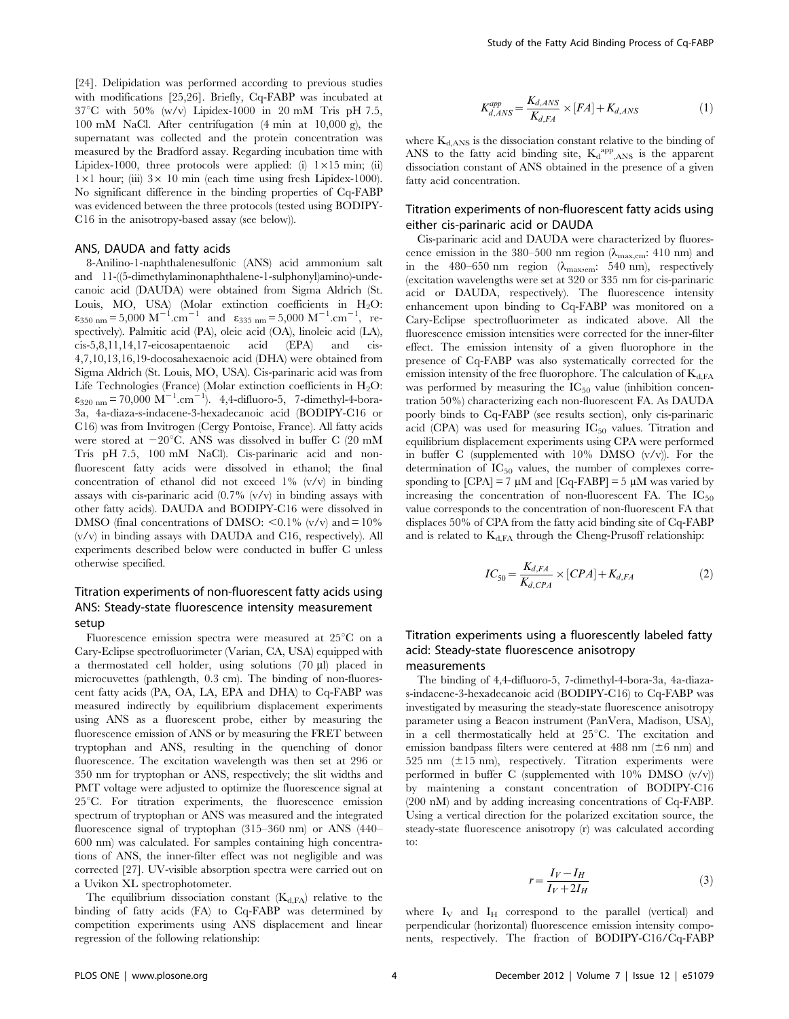[24]. Delipidation was performed according to previous studies with modifications [25,26]. Briefly, Cq-FABP was incubated at  $37^{\circ}$ C with 50% (w/v) Lipidex-1000 in 20 mM Tris pH 7.5, 100 mM NaCl. After centrifugation (4 min at 10,000 g), the supernatant was collected and the protein concentration was measured by the Bradford assay. Regarding incubation time with Lipidex-1000, three protocols were applied: (i)  $1\times15$  min; (ii)  $1\times1$  hour; (iii)  $3\times10$  min (each time using fresh Lipidex-1000). No significant difference in the binding properties of Cq-FABP was evidenced between the three protocols (tested using BODIPY-C16 in the anisotropy-based assay (see below)).

#### ANS, DAUDA and fatty acids

8-Anilino-1-naphthalenesulfonic (ANS) acid ammonium salt and 11-((5-dimethylaminonaphthalene-1-sulphonyl)amino)-undecanoic acid (DAUDA) were obtained from Sigma Aldrich (St. Louis, MO, USA) (Molar extinction coefficients in H<sub>2</sub>O:<br> $\varepsilon_{350 \text{ nm}} = 5,000 \text{ M}^{-1} \text{ cm}^{-1}$  and  $\varepsilon_{335 \text{ nm}} = 5,000 \text{ M}^{-1} \text{ cm}^{-1}$ , respectively). Palmitic acid (PA), oleic acid (OA), linoleic acid (LA), cis-5,8,11,14,17-eicosapentaenoic acid (EPA) and cis-4,7,10,13,16,19-docosahexaenoic acid (DHA) were obtained from Sigma Aldrich (St. Louis, MO, USA). Cis-parinaric acid was from Life Technologies (France) (Molar extinction coefficients in  $H_2O$ :  $\varepsilon_{320 \text{ nm}} = 70,000 \text{ M}^{-1} \text{ cm}^{-1}$ . 4,4-difluoro-5, 7-dimethyl-4-bora-3a, 4a-diaza-s-indacene-3-hexadecanoic acid (BODIPY-C16 or C16) was from Invitrogen (Cergy Pontoise, France). All fatty acids were stored at  $-20^{\circ}$ C. ANS was dissolved in buffer C (20 mM Tris pH 7.5, 100 mM NaCl). Cis-parinaric acid and nonfluorescent fatty acids were dissolved in ethanol; the final concentration of ethanol did not exceed 1% (v/v) in binding assays with cis-parinaric acid  $(0.7\%$  (v/v) in binding assays with other fatty acids). DAUDA and BODIPY-C16 were dissolved in DMSO (final concentrations of DMSO:  $\lt 0.1\%$  (v/v) and = 10% (v/v) in binding assays with DAUDA and C16, respectively). All experiments described below were conducted in buffer C unless otherwise specified.

# Titration experiments of non-fluorescent fatty acids using ANS: Steady-state fluorescence intensity measurement setup

Fluorescence emission spectra were measured at  $25^{\circ}$ C on a Cary-Eclipse spectrofluorimeter (Varian, CA, USA) equipped with a thermostated cell holder, using solutions (70 µl) placed in microcuvettes (pathlength, 0.3 cm). The binding of non-fluorescent fatty acids (PA, OA, LA, EPA and DHA) to Cq-FABP was measured indirectly by equilibrium displacement experiments using ANS as a fluorescent probe, either by measuring the fluorescence emission of ANS or by measuring the FRET between tryptophan and ANS, resulting in the quenching of donor fluorescence. The excitation wavelength was then set at 296 or 350 nm for tryptophan or ANS, respectively; the slit widths and PMT voltage were adjusted to optimize the fluorescence signal at  $25^{\circ}$ C. For titration experiments, the fluorescence emission spectrum of tryptophan or ANS was measured and the integrated fluorescence signal of tryptophan (315–360 nm) or ANS (440– 600 nm) was calculated. For samples containing high concentrations of ANS, the inner-filter effect was not negligible and was corrected [27]. UV-visible absorption spectra were carried out on a Uvikon XL spectrophotometer.

The equilibrium dissociation constant  $(K_{d,FA})$  relative to the binding of fatty acids (FA) to Cq-FABP was determined by competition experiments using ANS displacement and linear regression of the following relationship:

$$
K_{d,ANS}^{app} = \frac{K_{d,ANS}}{K_{d,FA}} \times [FA] + K_{d,ANS}
$$
 (1)

where  $K<sub>d,ANS</sub>$  is the dissociation constant relative to the binding of ANS to the fatty acid binding site,  $K_d^{app}$ <sub>ANS</sub> is the apparent dissociation constant of ANS obtained in the presence of a given fatty acid concentration.

### Titration experiments of non-fluorescent fatty acids using either cis-parinaric acid or DAUDA

Cis-parinaric acid and DAUDA were characterized by fluorescence emission in the 380–500 nm region ( $\lambda_{\text{max,em}}$ : 410 nm) and in the 480–650 nm region  $(\lambda_{\text{max,em}}: 540 \text{ nm})$ , respectively (excitation wavelengths were set at 320 or 335 nm for cis-parinaric acid or DAUDA, respectively). The fluorescence intensity enhancement upon binding to Cq-FABP was monitored on a Cary-Eclipse spectrofluorimeter as indicated above. All the fluorescence emission intensities were corrected for the inner-filter effect. The emission intensity of a given fluorophore in the presence of Cq-FABP was also systematically corrected for the emission intensity of the free fluorophore. The calculation of  $K_{d,FA}$ was performed by measuring the  $IC_{50}$  value (inhibition concentration 50%) characterizing each non-fluorescent FA. As DAUDA poorly binds to Cq-FABP (see results section), only cis-parinaric acid (CPA) was used for measuring  $IC_{50}$  values. Titration and equilibrium displacement experiments using CPA were performed in buffer C (supplemented with 10% DMSO (v/v)). For the determination of  $IC_{50}$  values, the number of complexes corresponding to  $[CPA] = 7 \mu M$  and  $[Cq-FABP] = 5 \mu M$  was varied by increasing the concentration of non-fluorescent FA. The  $IC_{50}$ value corresponds to the concentration of non-fluorescent FA that displaces 50% of CPA from the fatty acid binding site of Cq-FABP and is related to  $K<sub>d,FA</sub>$  through the Cheng-Prusoff relationship:

$$
IC_{50} = \frac{K_{d,FA}}{K_{d,CPA}} \times [CPA] + K_{d,FA}
$$
 (2)

# Titration experiments using a fluorescently labeled fatty acid: Steady-state fluorescence anisotropy measurements

The binding of 4,4-difluoro-5, 7-dimethyl-4-bora-3a, 4a-diazas-indacene-3-hexadecanoic acid (BODIPY-C16) to Cq-FABP was investigated by measuring the steady-state fluorescence anisotropy parameter using a Beacon instrument (PanVera, Madison, USA), in a cell thermostatically held at  $25^{\circ}$ C. The excitation and emission bandpass filters were centered at 488 nm  $(\pm 6 \text{ nm})$  and 525 nm  $(\pm 15 \text{ nm})$ , respectively. Titration experiments were performed in buffer C (supplemented with 10% DMSO (v/v)) by maintening a constant concentration of BODIPY-C16 (200 nM) and by adding increasing concentrations of Cq-FABP. Using a vertical direction for the polarized excitation source, the steady-state fluorescence anisotropy (r) was calculated according to:

$$
r = \frac{I_V - I_H}{I_V + 2I_H} \tag{3}
$$

where  $I_V$  and  $I_H$  correspond to the parallel (vertical) and perpendicular (horizontal) fluorescence emission intensity components, respectively. The fraction of BODIPY-C16/Cq-FABP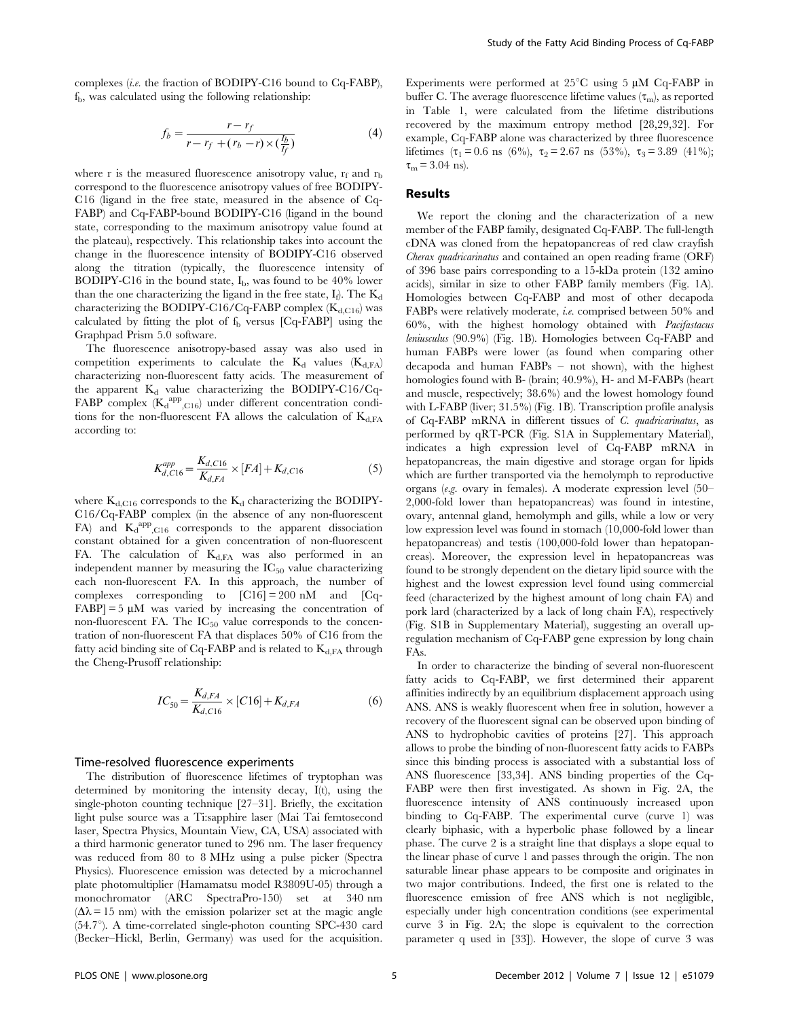complexes (i.e. the fraction of BODIPY-C16 bound to Cq-FABP),  $f<sub>b</sub>$ , was calculated using the following relationship:

$$
f_b = \frac{r - r_f}{r - r_f + (r_b - r) \times (\frac{I_b}{I_f})}
$$
(4)

where r is the measured fluorescence anisotropy value,  $r_f$  and  $r_b$ correspond to the fluorescence anisotropy values of free BODIPY-C16 (ligand in the free state, measured in the absence of Cq-FABP) and Cq-FABP-bound BODIPY-C16 (ligand in the bound state, corresponding to the maximum anisotropy value found at the plateau), respectively. This relationship takes into account the change in the fluorescence intensity of BODIPY-C16 observed along the titration (typically, the fluorescence intensity of BODIPY-C16 in the bound state,  $I_{b}$ , was found to be 40% lower than the one characterizing the ligand in the free state,  $I_f$ ). The  $K_d$ characterizing the BODIPY-C16/Cq-FABP complex  $(K_{d,C16})$  was calculated by fitting the plot of  $f<sub>b</sub>$  versus [Cq-FABP] using the Graphpad Prism 5.0 software.

The fluorescence anisotropy-based assay was also used in competition experiments to calculate the  $K_d$  values  $(K_{d,FA})$ characterizing non-fluorescent fatty acids. The measurement of the apparent  $K_d$  value characterizing the BODIPY-C16/Cq- $FABP$  complex  $(K_d^{app}, C_{16})$  under different concentration conditions for the non-fluorescent FA allows the calculation of  $K_{d,FA}$ according to:

$$
K_{d, C16}^{app} = \frac{K_{d, C16}}{K_{d, FA}} \times [FA] + K_{d, C16}
$$
 (5)

where  $K_{d,C16}$  corresponds to the  $K_d$  characterizing the BODIPY-C16/Cq-FABP complex (in the absence of any non-fluorescent FA) and  $K_d^{app}$ ,  $C16$  corresponds to the apparent dissociation constant obtained for a given concentration of non-fluorescent FA. The calculation of  $K_{d,FA}$  was also performed in an independent manner by measuring the  $IC_{50}$  value characterizing each non-fluorescent FA. In this approach, the number of complexes corresponding to  $\text{[C16]} = 200 \text{ nM}$  and  $\text{[Cq-}$  $FABP$  = 5  $\mu$ M was varied by increasing the concentration of non-fluorescent FA. The  $IC_{50}$  value corresponds to the concentration of non-fluorescent FA that displaces 50% of C16 from the fatty acid binding site of Cq-FABP and is related to  $K<sub>d.FA</sub>$  through the Cheng-Prusoff relationship:

$$
IC_{50} = \frac{K_{d,FA}}{K_{d,Cl6}} \times [C16] + K_{d,FA}
$$
 (6)

#### Time-resolved fluorescence experiments

The distribution of fluorescence lifetimes of tryptophan was determined by monitoring the intensity decay, I(t), using the single-photon counting technique [27–31]. Briefly, the excitation light pulse source was a Ti:sapphire laser (Mai Tai femtosecond laser, Spectra Physics, Mountain View, CA, USA) associated with a third harmonic generator tuned to 296 nm. The laser frequency was reduced from 80 to 8 MHz using a pulse picker (Spectra Physics). Fluorescence emission was detected by a microchannel plate photomultiplier (Hamamatsu model R3809U-05) through a monochromator (ARC SpectraPro-150) set at 340 nm  $(\Delta \lambda = 15$  nm) with the emission polarizer set at the magic angle  $(54.7^{\circ})$ . A time-correlated single-photon counting SPC-430 card (Becker–Hickl, Berlin, Germany) was used for the acquisition.

Experiments were performed at  $25^{\circ}$ C using 5  $\mu$ M Cq-FABP in buffer C. The average fluorescence lifetime values  $(\tau_m)$ , as reported in Table 1, were calculated from the lifetime distributions recovered by the maximum entropy method [28,29,32]. For example, Cq-FABP alone was characterized by three fluorescence lifetimes ( $\tau_1 = 0.6$  ns (6%),  $\tau_2 = 2.67$  ns (53%),  $\tau_3 = 3.89$  (41%);  $\tau_{\rm m}$  = 3.04 ns).

#### Results

We report the cloning and the characterization of a new member of the FABP family, designated Cq-FABP. The full-length cDNA was cloned from the hepatopancreas of red claw crayfish Cherax quadricarinatus and contained an open reading frame (ORF) of 396 base pairs corresponding to a 15-kDa protein (132 amino acids), similar in size to other FABP family members (Fig. 1A). Homologies between Cq-FABP and most of other decapoda FABPs were relatively moderate, i.e. comprised between 50% and 60%, with the highest homology obtained with Pacifastacus leniusculus (90.9%) (Fig. 1B). Homologies between Cq-FABP and human FABPs were lower (as found when comparing other decapoda and human FABPs – not shown), with the highest homologies found with B- (brain; 40.9%), H- and M-FABPs (heart and muscle, respectively; 38.6%) and the lowest homology found with L-FABP (liver; 31.5%) (Fig. 1B). Transcription profile analysis of Cq-FABP mRNA in different tissues of C. quadricarinatus, as performed by qRT-PCR (Fig. S1A in Supplementary Material), indicates a high expression level of Cq-FABP mRNA in hepatopancreas, the main digestive and storage organ for lipids which are further transported via the hemolymph to reproductive organs (e.g. ovary in females). A moderate expression level (50– 2,000-fold lower than hepatopancreas) was found in intestine, ovary, antennal gland, hemolymph and gills, while a low or very low expression level was found in stomach (10,000-fold lower than hepatopancreas) and testis (100,000-fold lower than hepatopancreas). Moreover, the expression level in hepatopancreas was found to be strongly dependent on the dietary lipid source with the highest and the lowest expression level found using commercial feed (characterized by the highest amount of long chain FA) and pork lard (characterized by a lack of long chain FA), respectively (Fig. S1B in Supplementary Material), suggesting an overall upregulation mechanism of Cq-FABP gene expression by long chain FAs.

In order to characterize the binding of several non-fluorescent fatty acids to Cq-FABP, we first determined their apparent affinities indirectly by an equilibrium displacement approach using ANS. ANS is weakly fluorescent when free in solution, however a recovery of the fluorescent signal can be observed upon binding of ANS to hydrophobic cavities of proteins [27]. This approach allows to probe the binding of non-fluorescent fatty acids to FABPs since this binding process is associated with a substantial loss of ANS fluorescence [33,34]. ANS binding properties of the Cq-FABP were then first investigated. As shown in Fig. 2A, the fluorescence intensity of ANS continuously increased upon binding to Cq-FABP. The experimental curve (curve 1) was clearly biphasic, with a hyperbolic phase followed by a linear phase. The curve 2 is a straight line that displays a slope equal to the linear phase of curve 1 and passes through the origin. The non saturable linear phase appears to be composite and originates in two major contributions. Indeed, the first one is related to the fluorescence emission of free ANS which is not negligible, especially under high concentration conditions (see experimental curve 3 in Fig. 2A; the slope is equivalent to the correction parameter q used in [33]). However, the slope of curve 3 was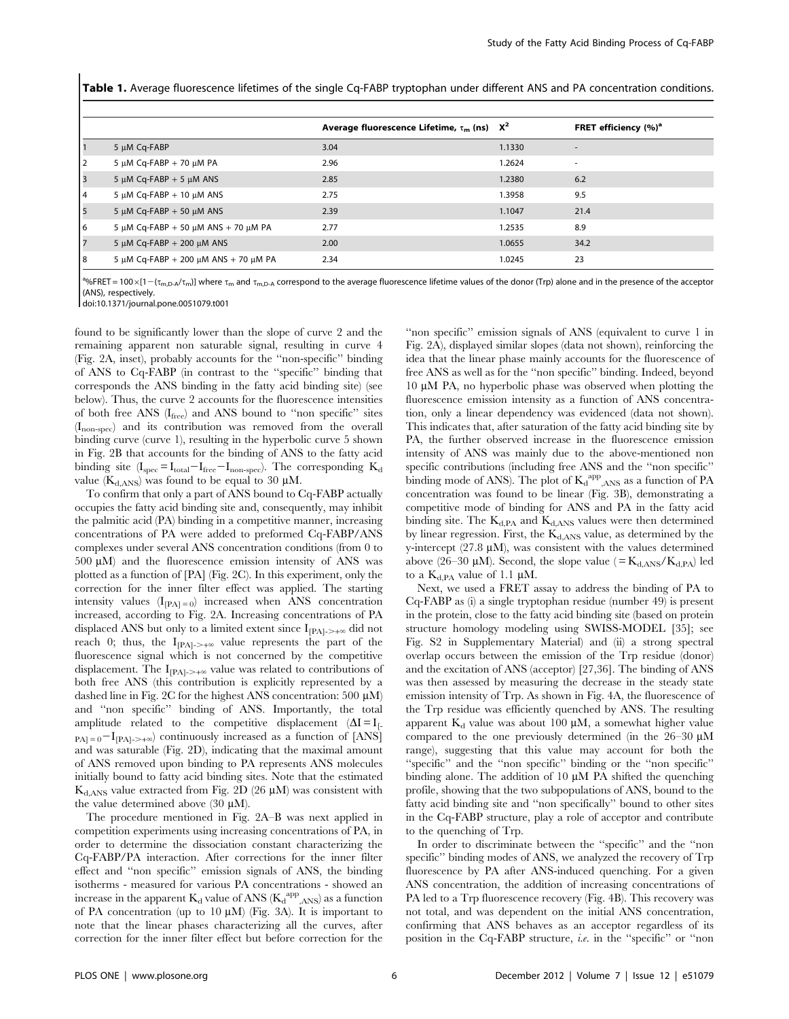Table 1. Average fluorescence lifetimes of the single Cq-FABP tryptophan under different ANS and PA concentration conditions.

|    |                                      | Average fluorescence Lifetime, $\tau_{\rm m}$ (ns) $X^2$ |        | FRET efficiency (%) <sup>a</sup> |
|----|--------------------------------------|----------------------------------------------------------|--------|----------------------------------|
|    | 5 µM Cq-FABP                         | 3.04                                                     | 1.1330 | $\overline{\phantom{a}}$         |
| 2  | 5 $\mu$ M Cq-FABP + 70 $\mu$ M PA    | 2.96                                                     | 1.2624 | ٠                                |
| 3  | 5 $\mu$ M Cq-FABP + 5 $\mu$ M ANS    | 2.85                                                     | 1.2380 | 6.2                              |
| 4  | 5 $\mu$ M Cq-FABP + 10 $\mu$ M ANS   | 2.75                                                     | 1.3958 | 9.5                              |
| 5  | 5 $\mu$ M Cq-FABP + 50 $\mu$ M ANS   | 2.39                                                     | 1.1047 | 21.4                             |
| 6  | 5 μM Cq-FABP + 50 μM ANS + 70 μM PA  | 2.77                                                     | 1.2535 | 8.9                              |
| 7  | 5 $\mu$ M Cq-FABP + 200 $\mu$ M ANS  | 2.00                                                     | 1.0655 | 34.2                             |
| 18 | 5 μM Cq-FABP + 200 μM ANS + 70 μM PA | 2.34                                                     | 1.0245 | 23                               |

<sup>a</sup>%FRET = 100 × [1 – (t<sub>m,D-A</sub>/t<sub>m</sub>)] where t<sub>m</sub> and t<sub>m,D-A</sub> correspond to the average fluorescence lifetime values of the donor (Trp) alone and in the presence of the acceptor (ANS), respectively.

doi:10.1371/journal.pone.0051079.t001

found to be significantly lower than the slope of curve 2 and the remaining apparent non saturable signal, resulting in curve 4 (Fig. 2A, inset), probably accounts for the ''non-specific'' binding of ANS to Cq-FABP (in contrast to the ''specific'' binding that corresponds the ANS binding in the fatty acid binding site) (see below). Thus, the curve 2 accounts for the fluorescence intensities of both free ANS (Ifree) and ANS bound to ''non specific'' sites (Inon-spec) and its contribution was removed from the overall binding curve (curve 1), resulting in the hyperbolic curve 5 shown in Fig. 2B that accounts for the binding of ANS to the fatty acid binding site  $(I_{\text{spec}}=I_{\text{total}}-I_{\text{free}}-I_{\text{non-spec}})$ . The corresponding  $K_d$ value ( $K_{d,ANS}$ ) was found to be equal to 30  $\mu$ M.

To confirm that only a part of ANS bound to Cq-FABP actually occupies the fatty acid binding site and, consequently, may inhibit the palmitic acid (PA) binding in a competitive manner, increasing concentrations of PA were added to preformed Cq-FABP/ANS complexes under several ANS concentration conditions (from 0 to  $500 \mu M$ ) and the fluorescence emission intensity of ANS was plotted as a function of [PA] (Fig. 2C). In this experiment, only the correction for the inner filter effect was applied. The starting intensity values  $(I_{[PA]=0})$  increased when ANS concentration increased, according to Fig. 2A. Increasing concentrations of PA displaced ANS but only to a limited extent since  $I_{[PA]\rightarrow +\infty}$  did not reach 0; thus, the  $I_{[PA]\rightarrow+\infty}$  value represents the part of the fluorescence signal which is not concerned by the competitive displacement. The  $I_{\text{[PA]}\rightarrow+\infty}$  value was related to contributions of both free ANS (this contribution is explicitly represented by a dashed line in Fig. 2C for the highest ANS concentration: 500  $\mu$ M) and ''non specific'' binding of ANS. Importantly, the total amplitude related to the competitive displacement  $(\Delta I = I_{\text{L}})$  $_{PA1=0}-I_{[PA]\rightarrow+\infty}$  continuously increased as a function of [ANS] and was saturable (Fig. 2D), indicating that the maximal amount of ANS removed upon binding to PA represents ANS molecules initially bound to fatty acid binding sites. Note that the estimated  $K_{d,ANS}$  value extracted from Fig. 2D (26  $\mu$ M) was consistent with the value determined above  $(30 \mu M)$ .

The procedure mentioned in Fig. 2A–B was next applied in competition experiments using increasing concentrations of PA, in order to determine the dissociation constant characterizing the Cq-FABP/PA interaction. After corrections for the inner filter effect and ''non specific'' emission signals of ANS, the binding isotherms - measured for various PA concentrations - showed an increase in the apparent  $K_d$  value of ANS  $(K_d^{\text{app}})_{\rm{ANS}}$  as a function of PA concentration (up to 10  $\mu$ M) (Fig. 3A). It is important to note that the linear phases characterizing all the curves, after correction for the inner filter effect but before correction for the

''non specific'' emission signals of ANS (equivalent to curve 1 in Fig. 2A), displayed similar slopes (data not shown), reinforcing the idea that the linear phase mainly accounts for the fluorescence of free ANS as well as for the ''non specific'' binding. Indeed, beyond  $10 \mu M$  PA, no hyperbolic phase was observed when plotting the fluorescence emission intensity as a function of ANS concentration, only a linear dependency was evidenced (data not shown). This indicates that, after saturation of the fatty acid binding site by PA, the further observed increase in the fluorescence emission intensity of ANS was mainly due to the above-mentioned non specific contributions (including free ANS and the ''non specific'' binding mode of ANS). The plot of  $K_d^{app}$ <sub>ANS</sub> as a function of PA concentration was found to be linear (Fig. 3B), demonstrating a competitive mode of binding for ANS and PA in the fatty acid binding site. The  $K_{d,PA}$  and  $K_{d,ANS}$  values were then determined by linear regression. First, the  $K<sub>d,ANS</sub>$  value, as determined by the y-intercept (27.8  $\mu$ M), was consistent with the values determined above (26–30  $\mu$ M). Second, the slope value ( $=$  K<sub>d,ANS</sub>/K<sub>d,PA</sub>) led to a  $K_{d,PA}$  value of 1.1  $\mu$ M.

Next, we used a FRET assay to address the binding of PA to Cq-FABP as (i) a single tryptophan residue (number 49) is present in the protein, close to the fatty acid binding site (based on protein structure homology modeling using SWISS-MODEL [35]; see Fig. S2 in Supplementary Material) and (ii) a strong spectral overlap occurs between the emission of the Trp residue (donor) and the excitation of ANS (acceptor) [27,36]. The binding of ANS was then assessed by measuring the decrease in the steady state emission intensity of Trp. As shown in Fig. 4A, the fluorescence of the Trp residue was efficiently quenched by ANS. The resulting apparent  $K_d$  value was about 100  $\mu$ M, a somewhat higher value compared to the one previously determined (in the  $26-30 \mu M$ range), suggesting that this value may account for both the ''specific'' and the ''non specific'' binding or the ''non specific'' binding alone. The addition of  $10 \mu M$  PA shifted the quenching profile, showing that the two subpopulations of ANS, bound to the fatty acid binding site and ''non specifically'' bound to other sites in the Cq-FABP structure, play a role of acceptor and contribute to the quenching of Trp.

In order to discriminate between the ''specific'' and the ''non specific'' binding modes of ANS, we analyzed the recovery of Trp fluorescence by PA after ANS-induced quenching. For a given ANS concentration, the addition of increasing concentrations of PA led to a Trp fluorescence recovery (Fig. 4B). This recovery was not total, and was dependent on the initial ANS concentration, confirming that ANS behaves as an acceptor regardless of its position in the Cq-FABP structure, i.e. in the ''specific'' or ''non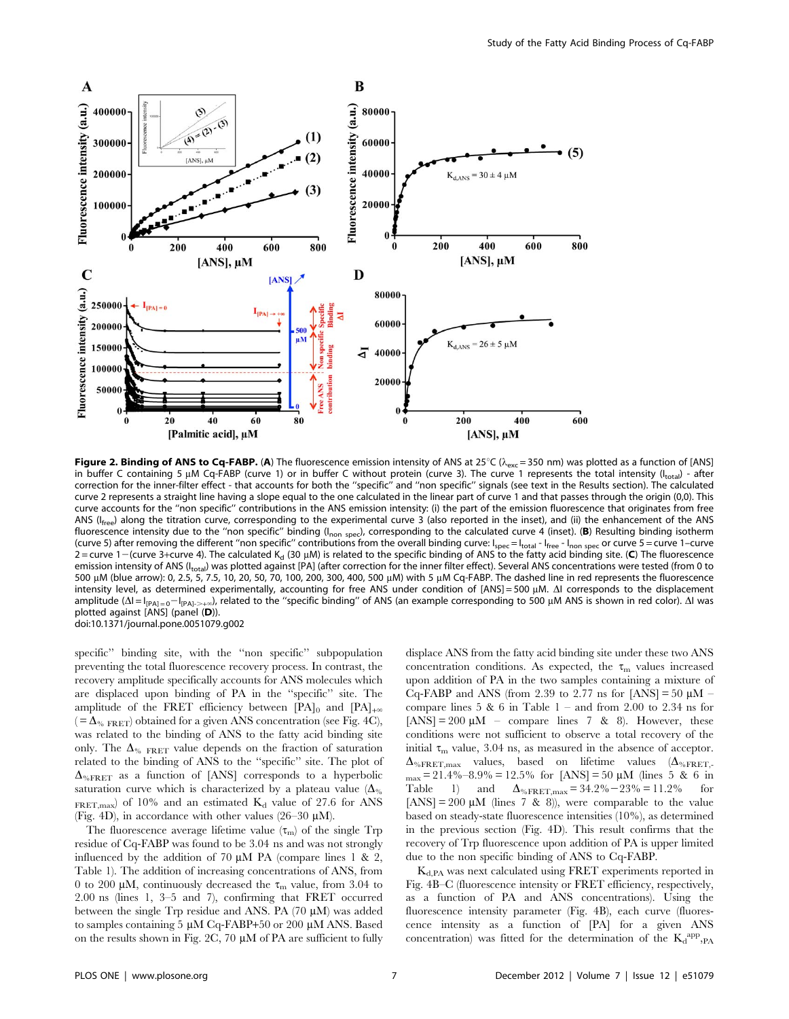

Figure 2. Binding of ANS to Cq-FABP. (A) The fluorescence emission intensity of ANS at  $25^{\circ}C$  ( $\lambda_{\rm exc}$  = 350 nm) was plotted as a function of [ANS] in buffer C containing 5 µM Cq-FABP (curve 1) or in buffer C without protein (curve 3). The curve 1 represents the total intensity ( $I<sub>total</sub>$ ) - after correction for the inner-filter effect - that accounts for both the ''specific'' and ''non specific'' signals (see text in the Results section). The calculated curve 2 represents a straight line having a slope equal to the one calculated in the linear part of curve 1 and that passes through the origin (0,0). This curve accounts for the ''non specific'' contributions in the ANS emission intensity: (i) the part of the emission fluorescence that originates from free ANS ( $I_{\text{free}}$ ) along the titration curve, corresponding to the experimental curve 3 (also reported in the inset), and (ii) the enhancement of the ANS fluorescence intensity due to the "non specific" binding ( $I_{\text{non spec}}$ ), corresponding to the calculated curve 4 (inset). (B) Resulting binding isotherm (curve 5) after removing the different "non specific" contributions from the overall binding curve:  $I_{spec} = I_{total} - I_{free} - I_{non spec}$  or curve 5 = curve 1–curve  $2 =$  curve 1–(curve 3+curve 4). The calculated K<sub>d</sub> (30 µM) is related to the specific binding of ANS to the fatty acid binding site. (C) The fluorescence emission intensity of ANS (I<sub>total</sub>) was plotted against [PA] (after correction for the inner filter effect). Several ANS concentrations were tested (from 0 to 500 µM (blue arrow): 0, 2.5, 5, 7.5, 10, 20, 50, 70, 100, 200, 300, 400, 500 µM) with 5 µM Cq-FABP. The dashed line in red represents the fluorescence intensity level, as determined experimentally, accounting for free ANS under condition of [ANS] = 500 µM.  $\Delta$ I corresponds to the displacement amplitude ( $\Delta I = I_{[PA]=0} - I_{[PA]+2}$ ), related to the "specific binding" of ANS (an example corresponding to 500 µM ANS is shown in red color).  $\Delta I$  was plotted against [ANS] (panel (D)). doi:10.1371/journal.pone.0051079.g002

specific'' binding site, with the ''non specific'' subpopulation preventing the total fluorescence recovery process. In contrast, the recovery amplitude specifically accounts for ANS molecules which are displaced upon binding of PA in the ''specific'' site. The amplitude of the FRET efficiency between [PA]<sub>0</sub> and [PA]<sub>+ $\infty$ </sub>  $( = \Delta_{\% \text{ FRET}})$  obtained for a given ANS concentration (see Fig. 4C), was related to the binding of ANS to the fatty acid binding site only. The  $\Delta_{\%}$  FRET value depends on the fraction of saturation related to the binding of ANS to the ''specific'' site. The plot of  $\Delta_{\% \rm FRET}$  as a function of [ANS] corresponds to a hyperbolic saturation curve which is characterized by a plateau value  $(\Delta_{\%})$ FRET, max) of 10% and an estimated  $K_d$  value of 27.6 for ANS (Fig. 4D), in accordance with other values (26–30  $\mu$ M).

The fluorescence average lifetime value  $(\tau_m)$  of the single Trp residue of Cq-FABP was found to be 3.04 ns and was not strongly influenced by the addition of 70  $\mu$ M PA (compare lines 1 & 2, Table 1). The addition of increasing concentrations of ANS, from 0 to 200  $\mu$ M, continuously decreased the  $\tau_m$  value, from 3.04 to 2.00 ns (lines 1, 3–5 and 7), confirming that FRET occurred between the single  $Trp$  residue and ANS. PA (70  $\mu$ M) was added to samples containing 5 µM Cq-FABP+50 or 200 µM ANS. Based on the results shown in Fig. 2C, 70  $\mu$ M of PA are sufficient to fully

displace ANS from the fatty acid binding site under these two ANS concentration conditions. As expected, the  $\tau_m$  values increased upon addition of PA in the two samples containing a mixture of Cq-FABP and ANS (from 2.39 to 2.77 ns for  $[ANS] = 50 \mu M$  – compare lines  $5 \& 6$  in Table  $1 -$  and from  $2.00$  to  $2.34$  ns for  $[ANS] = 200 \mu M$  – compare lines 7 & 8). However, these conditions were not sufficient to observe a total recovery of the initial  $\tau_{\rm m}$  value, 3.04 ns, as measured in the absence of acceptor.  $\Delta_{\% \text{FRET},\text{max}}$  values, based on lifetime values ( $\Delta_{\% \text{FRET}}$ .  $_{\text{max}}$  = 21.4%–8.9% = 12.5% for [ANS] = 50 µM (lines 5 & 6 in Table 1) and  $\Delta_{\% \text{FRET}, \text{max}} = 34.2\% - 23\% = 11.2\%$  for [ANS] = 200  $\mu$ M (lines 7 & 8)), were comparable to the value based on steady-state fluorescence intensities (10%), as determined in the previous section (Fig. 4D). This result confirms that the recovery of Trp fluorescence upon addition of PA is upper limited due to the non specific binding of ANS to Cq-FABP.

Kd,PA was next calculated using FRET experiments reported in Fig. 4B–C (fluorescence intensity or FRET efficiency, respectively, as a function of PA and ANS concentrations). Using the fluorescence intensity parameter (Fig. 4B), each curve (fluorescence intensity as a function of [PA] for a given ANS concentration) was fitted for the determination of the  $K_d$ <sup>app</sup>, PA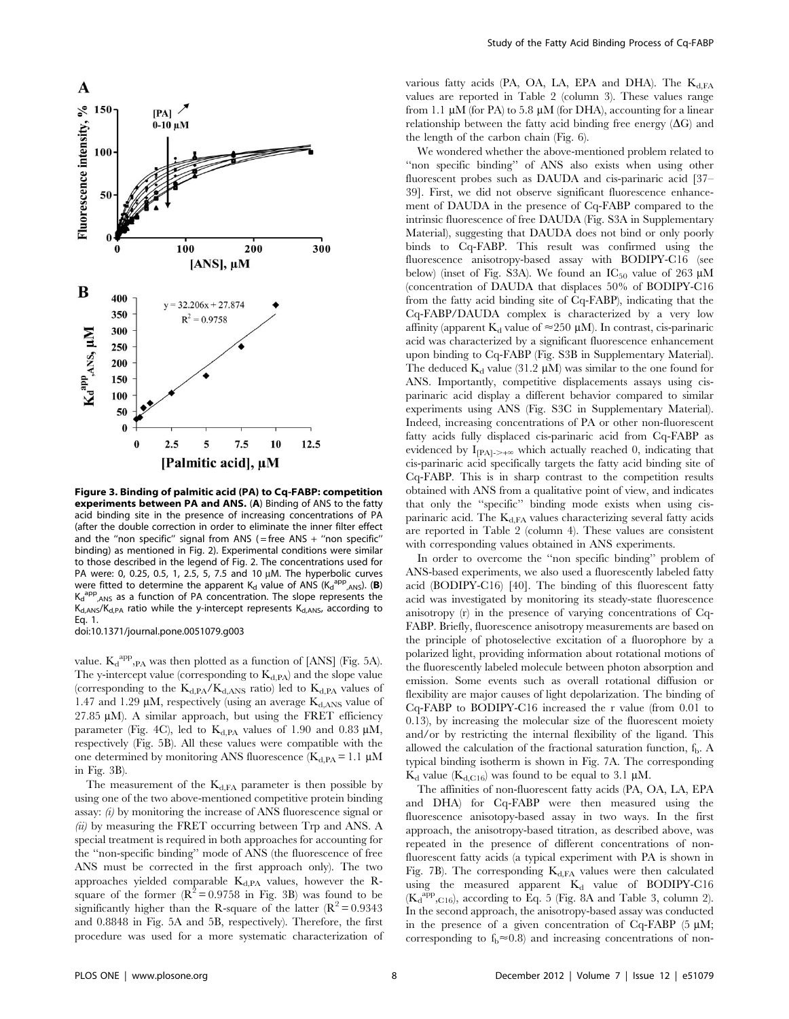

Figure 3. Binding of palmitic acid (PA) to Cq-FABP: competition experiments between PA and ANS. (A) Binding of ANS to the fatty acid binding site in the presence of increasing concentrations of PA (after the double correction in order to eliminate the inner filter effect and the "non specific" signal from ANS (= free ANS + "non specific" binding) as mentioned in Fig. 2). Experimental conditions were similar to those described in the legend of Fig. 2. The concentrations used for PA were: 0, 0.25, 0.5, 1, 2.5, 5, 7.5 and 10  $\mu$ M. The hyperbolic curves were fitted to determine the apparent  $K_d$  value of ANS ( $K_d^{app}$ <sub>ANS</sub>). (B)  $K_d$ <sup>al</sup> <sup>pp</sup><sub>,ANS</sub> as a function of PA concentration. The slope represents the  $K_{d,ANS}/K_{d,PA}$  ratio while the y-intercept represents  $K_{d,ANS}$ , according to Eq. 1. doi:10.1371/journal.pone.0051079.g003

value.  $K_d^{app}$ ,  $PA$  was then plotted as a function of [ANS] (Fig. 5A). The y-intercept value (corresponding to  $K<sub>d.PA</sub>$ ) and the slope value (corresponding to the  $K_{d,PA}/K_{d,ANS}$  ratio) led to  $K_{d,PA}$  values of 1.47 and 1.29  $\mu$ M, respectively (using an average  $K_{d,ANS}$  value of 27.85  $\mu$ M). A similar approach, but using the FRET efficiency parameter (Fig. 4C), led to  $K_{d,PA}$  values of 1.90 and 0.83  $\mu$ M, respectively (Fig. 5B). All these values were compatible with the one determined by monitoring ANS fluorescence ( $K_{d,PA} = 1.1 \mu M$ in Fig. 3B).

The measurement of the  $K_{d,FA}$  parameter is then possible by using one of the two above-mentioned competitive protein binding assay: (i) by monitoring the increase of ANS fluorescence signal or (ii) by measuring the FRET occurring between Trp and ANS. A special treatment is required in both approaches for accounting for the ''non-specific binding'' mode of ANS (the fluorescence of free ANS must be corrected in the first approach only). The two approaches yielded comparable K<sub>d,PA</sub> values, however the Rsquare of the former  $(R^2 = 0.9758$  in Fig. 3B) was found to be significantly higher than the R-square of the latter  $(R^2 = 0.9343)$ and 0.8848 in Fig. 5A and 5B, respectively). Therefore, the first procedure was used for a more systematic characterization of various fatty acids (PA, OA, LA, EPA and DHA). The  $K_{d,FA}$ values are reported in Table 2 (column 3). These values range from 1.1  $\mu$ M (for PA) to 5.8  $\mu$ M (for DHA), accounting for a linear relationship between the fatty acid binding free energy  $(\Delta G)$  and the length of the carbon chain (Fig. 6).

We wondered whether the above-mentioned problem related to ''non specific binding'' of ANS also exists when using other fluorescent probes such as DAUDA and cis-parinaric acid [37– 39]. First, we did not observe significant fluorescence enhancement of DAUDA in the presence of Cq-FABP compared to the intrinsic fluorescence of free DAUDA (Fig. S3A in Supplementary Material), suggesting that DAUDA does not bind or only poorly binds to Cq-FABP. This result was confirmed using the fluorescence anisotropy-based assay with BODIPY-C16 (see below) (inset of Fig. S3A). We found an  $IC_{50}$  value of 263  $\mu$ M (concentration of DAUDA that displaces 50% of BODIPY-C16 from the fatty acid binding site of Cq-FABP), indicating that the Cq-FABP/DAUDA complex is characterized by a very low affinity (apparent  $K_d$  value of  $\approx$  250 µM). In contrast, cis-parinaric acid was characterized by a significant fluorescence enhancement upon binding to Cq-FABP (Fig. S3B in Supplementary Material). The deduced  $K_d$  value (31.2  $\mu$ M) was similar to the one found for ANS. Importantly, competitive displacements assays using cisparinaric acid display a different behavior compared to similar experiments using ANS (Fig. S3C in Supplementary Material). Indeed, increasing concentrations of PA or other non-fluorescent fatty acids fully displaced cis-parinaric acid from Cq-FABP as evidenced by  $I_{[PA]\rightarrow+\infty}$  which actually reached 0, indicating that cis-parinaric acid specifically targets the fatty acid binding site of Cq-FABP. This is in sharp contrast to the competition results obtained with ANS from a qualitative point of view, and indicates that only the ''specific'' binding mode exists when using cisparinaric acid. The  $K_{d,FA}$  values characterizing several fatty acids are reported in Table 2 (column 4). These values are consistent with corresponding values obtained in ANS experiments.

In order to overcome the ''non specific binding'' problem of ANS-based experiments, we also used a fluorescently labeled fatty acid (BODIPY-C16) [40]. The binding of this fluorescent fatty acid was investigated by monitoring its steady-state fluorescence anisotropy (r) in the presence of varying concentrations of Cq-FABP. Briefly, fluorescence anisotropy measurements are based on the principle of photoselective excitation of a fluorophore by a polarized light, providing information about rotational motions of the fluorescently labeled molecule between photon absorption and emission. Some events such as overall rotational diffusion or flexibility are major causes of light depolarization. The binding of Cq-FABP to BODIPY-C16 increased the r value (from 0.01 to 0.13), by increasing the molecular size of the fluorescent moiety and/or by restricting the internal flexibility of the ligand. This allowed the calculation of the fractional saturation function,  $f<sub>b</sub>$ . A typical binding isotherm is shown in Fig. 7A. The corresponding  $K_d$  value ( $K_{d,Cl6}$ ) was found to be equal to 3.1 µM.

The affinities of non-fluorescent fatty acids (PA, OA, LA, EPA and DHA) for Cq-FABP were then measured using the fluorescence anisotopy-based assay in two ways. In the first approach, the anisotropy-based titration, as described above, was repeated in the presence of different concentrations of nonfluorescent fatty acids (a typical experiment with PA is shown in Fig. 7B). The corresponding  $K_{d,FA}$  values were then calculated using the measured apparent  $K_d$  value of BODIPY-C16  $(K_d^{app}, C_{16})$ , according to Eq. 5 (Fig. 8A and Table 3, column 2). In the second approach, the anisotropy-based assay was conducted in the presence of a given concentration of Cq-FABP  $(5 \mu M;$ corresponding to  $f_b \approx 0.8$ ) and increasing concentrations of non-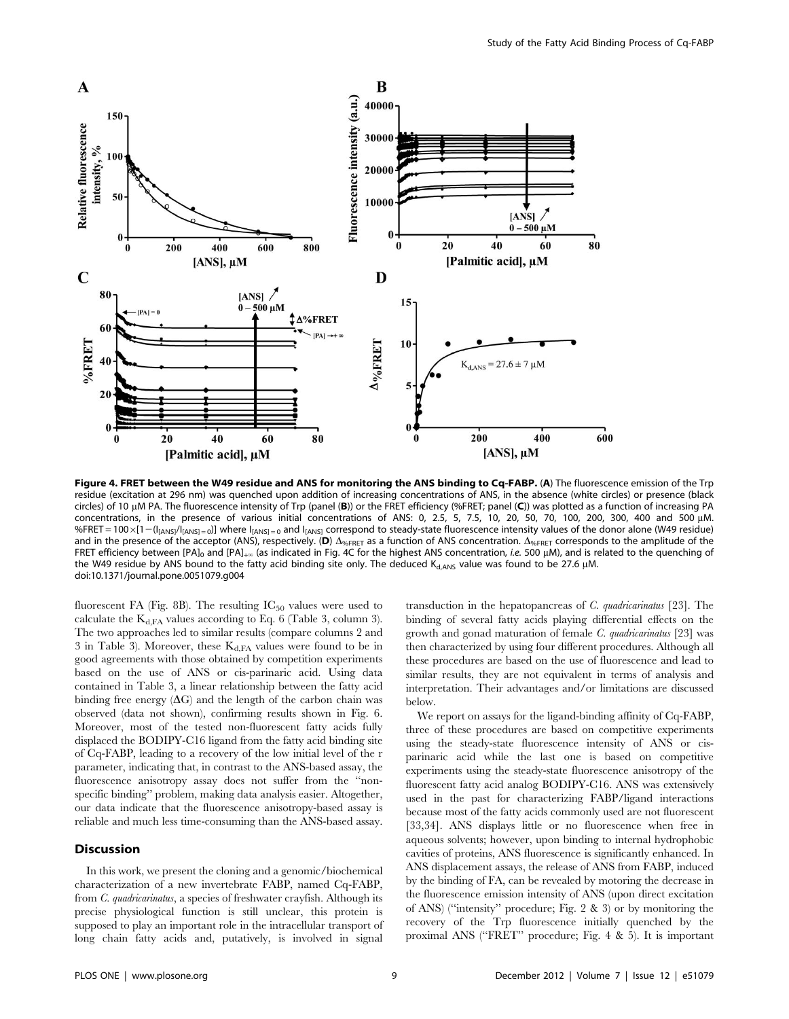

Figure 4. FRET between the W49 residue and ANS for monitoring the ANS binding to Cq-FABP. (A) The fluorescence emission of the Trp residue (excitation at 296 nm) was quenched upon addition of increasing concentrations of ANS, in the absence (white circles) or presence (black circles) of 10  $\mu$ M PA. The fluorescence intensity of Trp (panel (B)) or the FRET efficiency (%FRET; panel (C)) was plotted as a function of increasing PA concentrations, in the presence of various initial concentrations of ANS: 0, 2.5, 5, 7.5, 10, 20, 50, 70, 100, 200, 300, 400 and 500 µM. %FRET = 100 x[1 - (I<sub>[ANS]</sub>/I<sub>[ANS]</sub> = 0]] where I<sub>[ANS]</sub> = 0 and I<sub>[ANS]</sub> correspond to steady-state fluorescence intensity values of the donor alone (W49 residue) and in the presence of the acceptor (ANS), respectively. (D)  $\Delta_{\gamma_6FRET}$  as a function of ANS concentration.  $\Delta_{\gamma_6FRET}$  corresponds to the amplitude of the FRET efficiency between [PA]<sub>0</sub> and [PA]<sub>+ $\infty$ </sub> (as indicated in Fig. 4C for the highest ANS concentration, *i.e.* 500 µM), and is related to the quenching of the W49 residue by ANS bound to the fatty acid binding site only. The deduced  $K_{d,ANS}$  value was found to be 27.6 µM. doi:10.1371/journal.pone.0051079.g004

fluorescent FA (Fig. 8B). The resulting  $IC_{50}$  values were used to calculate the  $K_{d,FA}$  values according to Eq. 6 (Table 3, column 3). The two approaches led to similar results (compare columns 2 and 3 in Table 3). Moreover, these  $K_{d,FA}$  values were found to be in good agreements with those obtained by competition experiments based on the use of ANS or cis-parinaric acid. Using data contained in Table 3, a linear relationship between the fatty acid binding free energy  $(\Delta G)$  and the length of the carbon chain was observed (data not shown), confirming results shown in Fig. 6. Moreover, most of the tested non-fluorescent fatty acids fully displaced the BODIPY-C16 ligand from the fatty acid binding site of Cq-FABP, leading to a recovery of the low initial level of the r parameter, indicating that, in contrast to the ANS-based assay, the fluorescence anisotropy assay does not suffer from the ''nonspecific binding'' problem, making data analysis easier. Altogether, our data indicate that the fluorescence anisotropy-based assay is reliable and much less time-consuming than the ANS-based assay.

# Discussion

In this work, we present the cloning and a genomic/biochemical characterization of a new invertebrate FABP, named Cq-FABP, from *C. quadricarinatus*, a species of freshwater crayfish. Although its precise physiological function is still unclear, this protein is supposed to play an important role in the intracellular transport of long chain fatty acids and, putatively, is involved in signal transduction in the hepatopancreas of C. quadricarinatus [23]. The binding of several fatty acids playing differential effects on the growth and gonad maturation of female C. quadricarinatus [23] was then characterized by using four different procedures. Although all these procedures are based on the use of fluorescence and lead to similar results, they are not equivalent in terms of analysis and interpretation. Their advantages and/or limitations are discussed below.

We report on assays for the ligand-binding affinity of Cq-FABP, three of these procedures are based on competitive experiments using the steady-state fluorescence intensity of ANS or cisparinaric acid while the last one is based on competitive experiments using the steady-state fluorescence anisotropy of the fluorescent fatty acid analog BODIPY-C16. ANS was extensively used in the past for characterizing FABP/ligand interactions because most of the fatty acids commonly used are not fluorescent [33,34]. ANS displays little or no fluorescence when free in aqueous solvents; however, upon binding to internal hydrophobic cavities of proteins, ANS fluorescence is significantly enhanced. In ANS displacement assays, the release of ANS from FABP, induced by the binding of FA, can be revealed by motoring the decrease in the fluorescence emission intensity of ANS (upon direct excitation of ANS) (''intensity'' procedure; Fig. 2 & 3) or by monitoring the recovery of the Trp fluorescence initially quenched by the proximal ANS (''FRET'' procedure; Fig. 4 & 5). It is important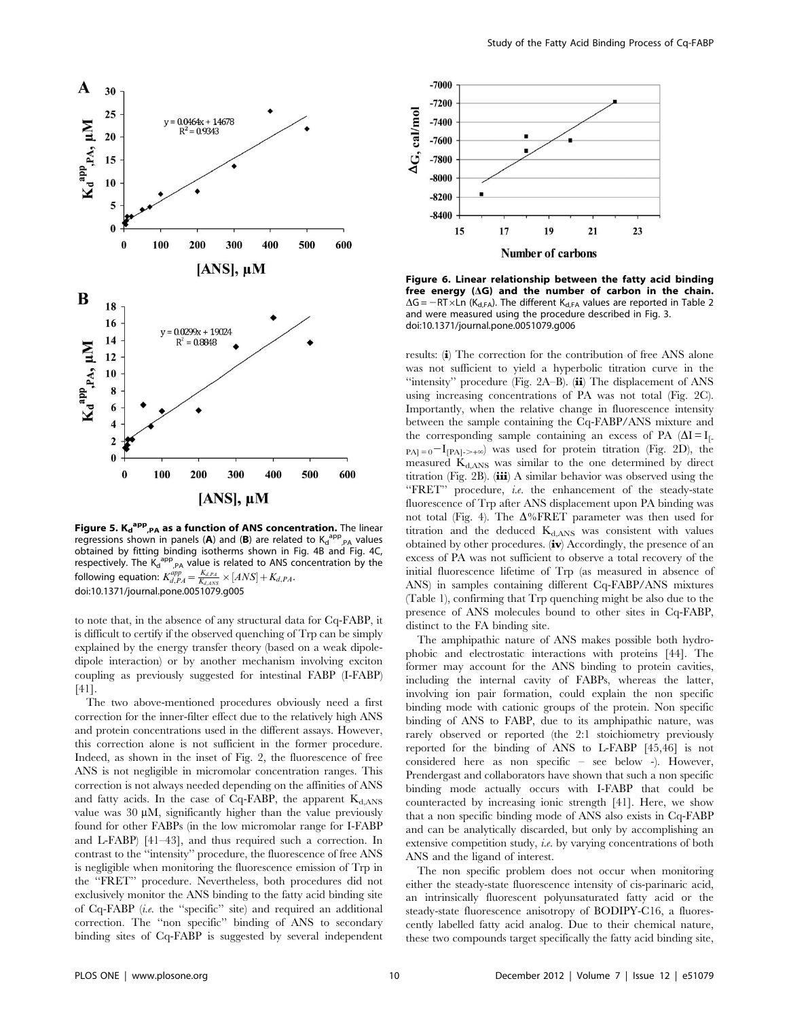

Figure 5. K<sub>d</sub><sup>app</sup>,<sub>PA</sub> as a function of ANS concentration. The linear regressions shown in panels (A) and (B) are related to  $K_d^{app}$ <sub>,PA</sub> values obtained by fitting binding isotherms shown in Fig. 4B and Fig. 4C, respectively. The  $K_d^{app}$ <sub>,PA</sub> value is related to ANS concentration by the following equation:  $K_{d,PA}^{app} = \frac{K_{d,PA}}{K_{d,ANS}} \times [ANS] + K_{d,PA}.$ doi:10.1371/journal.pone.0051079.g005

to note that, in the absence of any structural data for Cq-FABP, it is difficult to certify if the observed quenching of Trp can be simply explained by the energy transfer theory (based on a weak dipoledipole interaction) or by another mechanism involving exciton coupling as previously suggested for intestinal FABP (I-FABP) [41].

The two above-mentioned procedures obviously need a first correction for the inner-filter effect due to the relatively high ANS and protein concentrations used in the different assays. However, this correction alone is not sufficient in the former procedure. Indeed, as shown in the inset of Fig. 2, the fluorescence of free ANS is not negligible in micromolar concentration ranges. This correction is not always needed depending on the affinities of ANS and fatty acids. In the case of Cq-FABP, the apparent  $K_{d,ANS}$ value was 30  $\mu$ M, significantly higher than the value previously found for other FABPs (in the low micromolar range for I-FABP and L-FABP) [41–43], and thus required such a correction. In contrast to the ''intensity'' procedure, the fluorescence of free ANS is negligible when monitoring the fluorescence emission of Trp in the ''FRET'' procedure. Nevertheless, both procedures did not exclusively monitor the ANS binding to the fatty acid binding site of Cq-FABP (i.e. the ''specific'' site) and required an additional correction. The ''non specific'' binding of ANS to secondary binding sites of Cq-FABP is suggested by several independent



Figure 6. Linear relationship between the fatty acid binding free energy  $(\Delta G)$  and the number of carbon in the chain.  $\Delta G = -RT \times Ln$  (K<sub>d,FA</sub>). The different K<sub>d,FA</sub> values are reported in Table 2 and were measured using the procedure described in Fig. 3. doi:10.1371/journal.pone.0051079.g006

results: (i) The correction for the contribution of free ANS alone was not sufficient to yield a hyperbolic titration curve in the ''intensity'' procedure (Fig. 2A–B). (ii) The displacement of ANS using increasing concentrations of PA was not total (Fig. 2C). Importantly, when the relative change in fluorescence intensity between the sample containing the Cq-FABP/ANS mixture and the corresponding sample containing an excess of PA  $(\Delta I = I_{\text{L}})$  $_{PA} = 0$ <sup>-I</sup> $_{[PA] \rightarrow +\infty}$ ) was used for protein titration (Fig. 2D), the measured  $K_{d,ANS}$  was similar to the one determined by direct titration (Fig. 2B).  $(iii)$  A similar behavior was observed using the "FRET" procedure, *i.e.* the enhancement of the steady-state fluorescence of Trp after ANS displacement upon PA binding was not total (Fig. 4). The  $\Delta\%$ FRET parameter was then used for titration and the deduced  $K<sub>dANS</sub>$  was consistent with values obtained by other procedures.  $(iv)$  Accordingly, the presence of an excess of PA was not sufficient to observe a total recovery of the initial fluorescence lifetime of Trp (as measured in absence of ANS) in samples containing different Cq-FABP/ANS mixtures (Table 1), confirming that Trp quenching might be also due to the presence of ANS molecules bound to other sites in Cq-FABP, distinct to the FA binding site.

The amphipathic nature of ANS makes possible both hydrophobic and electrostatic interactions with proteins [44]. The former may account for the ANS binding to protein cavities, including the internal cavity of FABPs, whereas the latter, involving ion pair formation, could explain the non specific binding mode with cationic groups of the protein. Non specific binding of ANS to FABP, due to its amphipathic nature, was rarely observed or reported (the 2:1 stoichiometry previously reported for the binding of ANS to L-FABP [45,46] is not considered here as non specific – see below -). However, Prendergast and collaborators have shown that such a non specific binding mode actually occurs with I-FABP that could be counteracted by increasing ionic strength [41]. Here, we show that a non specific binding mode of ANS also exists in Cq-FABP and can be analytically discarded, but only by accomplishing an extensive competition study, i.e. by varying concentrations of both ANS and the ligand of interest.

The non specific problem does not occur when monitoring either the steady-state fluorescence intensity of cis-parinaric acid, an intrinsically fluorescent polyunsaturated fatty acid or the steady-state fluorescence anisotropy of BODIPY-C16, a fluorescently labelled fatty acid analog. Due to their chemical nature, these two compounds target specifically the fatty acid binding site,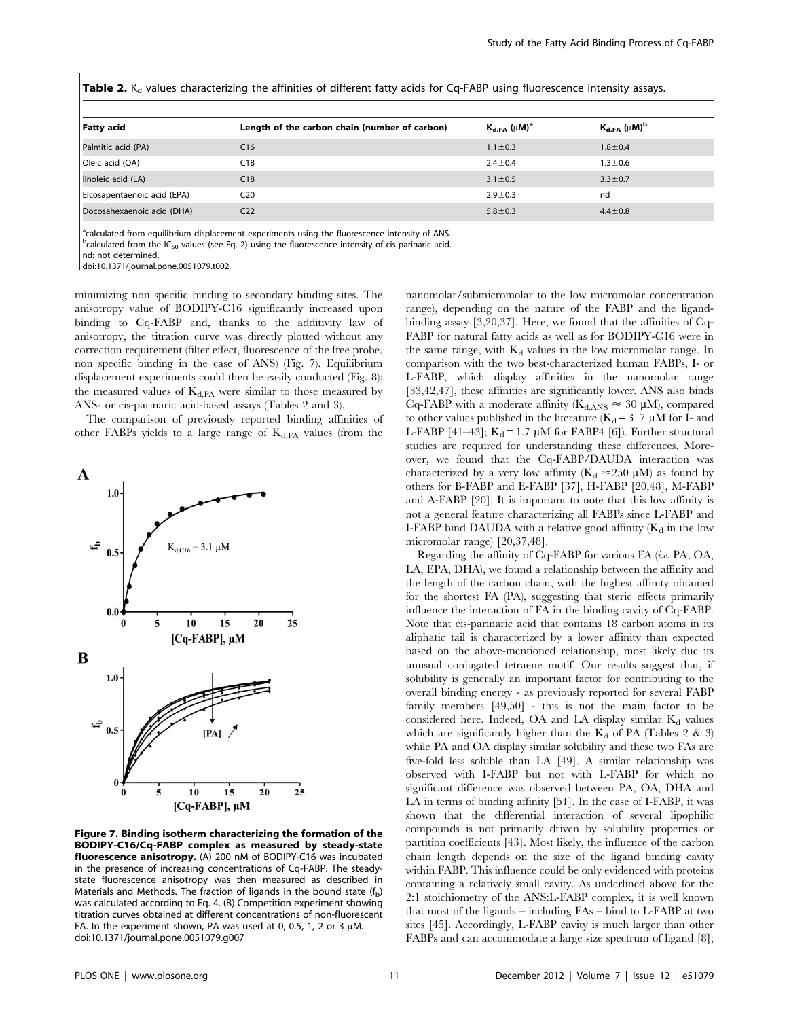| <b>Fatty acid</b>           | Length of the carbon chain (number of carbon) | $K_{d,FA}(\mu M)^a$ | $K_{d,FA}(\mu M)^b$ |  |
|-----------------------------|-----------------------------------------------|---------------------|---------------------|--|
| Palmitic acid (PA)          | C16                                           | $1.1 \pm 0.3$       | $1.8 \pm 0.4$       |  |
| Oleic acid (OA)             | C <sub>18</sub>                               | $2.4 \pm 0.4$       | $1.3 \pm 0.6$       |  |
| linoleic acid (LA)          | C18                                           | $3.1 \pm 0.5$       | $3.3 \pm 0.7$       |  |
| Eicosapentaenoic acid (EPA) | C20                                           | $2.9 \pm 0.3$       | nd                  |  |
| Docosahexaenoic acid (DHA)  | C <sub>22</sub>                               | $5.8 \pm 0.3$       | $4.4 \pm 0.8$       |  |

Table 2. K<sub>d</sub> values characterizing the affinities of different fatty acids for Cq-FABP using fluorescence intensity assays.

<sup>a</sup>calculated from equilibrium displacement experiments using the fluorescence intensity of ANS.

 $^{b}$ calculated from the IC<sub>50</sub> values (see Eq. 2) using the fluorescence intensity of cis-parinaric acid.

nd: not determined.

doi:10.1371/journal.pone.0051079.t002

minimizing non specific binding to secondary binding sites. The anisotropy value of BODIPY-C16 significantly increased upon binding to Cq-FABP and, thanks to the additivity law of anisotropy, the titration curve was directly plotted without any correction requirement (filter effect, fluorescence of the free probe, non specific binding in the case of ANS) (Fig. 7). Equilibrium displacement experiments could then be easily conducted (Fig. 8); the measured values of  $K<sub>d,FA</sub>$  were similar to those measured by ANS- or cis-parinaric acid-based assays (Tables 2 and 3).

The comparison of previously reported binding affinities of other FABPs yields to a large range of  $K_{d,FA}$  values (from the



Figure 7. Binding isotherm characterizing the formation of the BODIPY-C16/Cq-FABP complex as measured by steady-state fluorescence anisotropy. (A) 200 nM of BODIPY-C16 was incubated in the presence of increasing concentrations of Cq-FABP. The steadystate fluorescence anisotropy was then measured as described in Materials and Methods. The fraction of ligands in the bound state  $(f_b)$ was calculated according to Eq. 4. (B) Competition experiment showing titration curves obtained at different concentrations of non-fluorescent FA. In the experiment shown, PA was used at 0, 0.5, 1, 2 or 3  $\mu$ M. doi:10.1371/journal.pone.0051079.g007

nanomolar/submicromolar to the low micromolar concentration range), depending on the nature of the FABP and the ligandbinding assay [3,20,37]. Here, we found that the affinities of Cq-FABP for natural fatty acids as well as for BODIPY-C16 were in the same range, with  $K_d$  values in the low micromolar range. In comparison with the two best-characterized human FABPs, I- or L-FABP, which display affinities in the nanomolar range [33,42,47], these affinities are significantly lower. ANS also binds Cq-FABP with a moderate affinity ( $K_{d,ANS} \approx 30 \mu M$ ), compared to other values published in the literature  $(K_d = 3-7 \mu M)$  for I- and L-FABP [41–43];  $K_d = 1.7 \mu M$  for FABP4 [6]). Further structural studies are required for understanding these differences. Moreover, we found that the Cq-FABP/DAUDA interaction was characterized by a very low affinity ( $K_d \approx 250 \mu M$ ) as found by others for B-FABP and E-FABP [37], H-FABP [20,48], M-FABP and A-FABP [20]. It is important to note that this low affinity is not a general feature characterizing all FABPs since L-FABP and I-FABP bind DAUDA with a relative good affinity  $(K_d)$  in the low micromolar range) [20,37,48].

Regarding the affinity of Cq-FABP for various FA (i.e. PA, OA, LA, EPA, DHA), we found a relationship between the affinity and the length of the carbon chain, with the highest affinity obtained for the shortest FA (PA), suggesting that steric effects primarily influence the interaction of FA in the binding cavity of Cq-FABP. Note that cis-parinaric acid that contains 18 carbon atoms in its aliphatic tail is characterized by a lower affinity than expected based on the above-mentioned relationship, most likely due its unusual conjugated tetraene motif. Our results suggest that, if solubility is generally an important factor for contributing to the overall binding energy - as previously reported for several FABP family members [49,50] - this is not the main factor to be considered here. Indeed, OA and LA display similar  $K_d$  values which are significantly higher than the  $K_d$  of PA (Tables 2 & 3) while PA and OA display similar solubility and these two FAs are five-fold less soluble than LA [49]. A similar relationship was observed with I-FABP but not with L-FABP for which no significant difference was observed between PA, OA, DHA and LA in terms of binding affinity [51]. In the case of I-FABP, it was shown that the differential interaction of several lipophilic compounds is not primarily driven by solubility properties or partition coefficients [43]. Most likely, the influence of the carbon chain length depends on the size of the ligand binding cavity within FABP. This influence could be only evidenced with proteins containing a relatively small cavity. As underlined above for the 2:1 stoichiometry of the ANS:L-FABP complex, it is well known that most of the ligands – including FAs – bind to L-FABP at two sites [45]. Accordingly, L-FABP cavity is much larger than other FABPs and can accommodate a large size spectrum of ligand [8];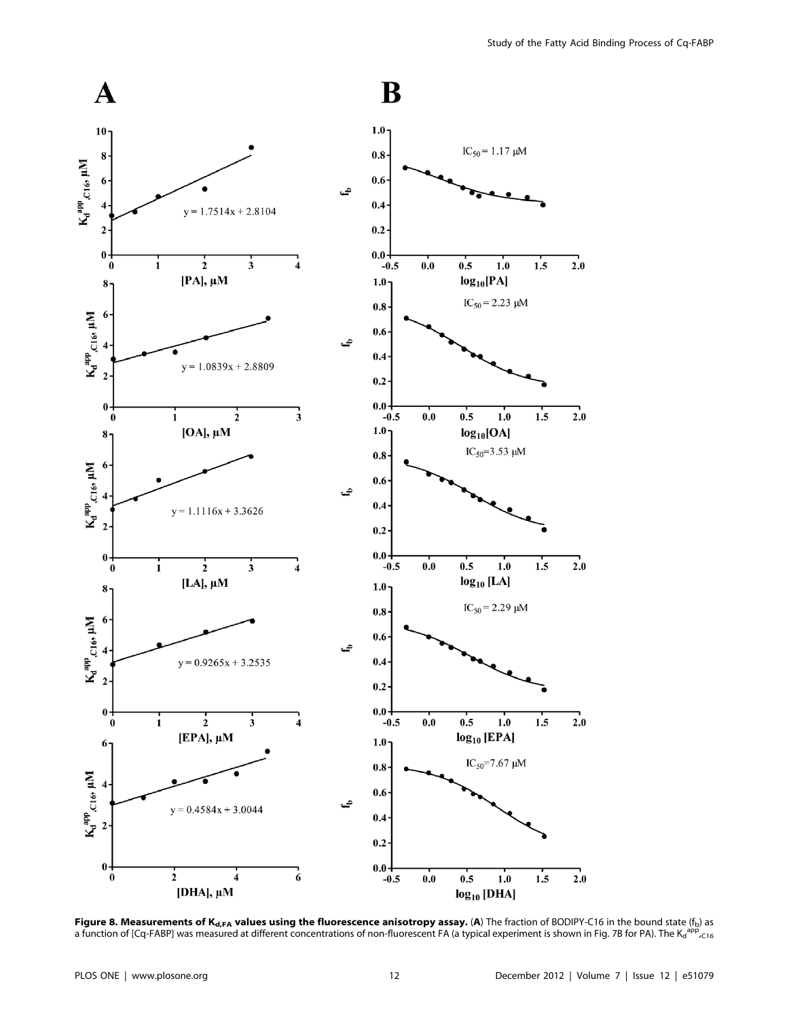

Figure 8. Measurements of  $K_{d,FA}$  values using the fluorescence anisotropy assay. (A) The fraction of BODIPY-C16 in the bound state ( $f_b$ ) as a function of [Cq-FABP] was measured at different concentrations of non-fluorescent FA (a typical experiment is shown in Fig. 7B for PA). The K<sub>d</sub><sup>app</sup>, <sub>C16</sub>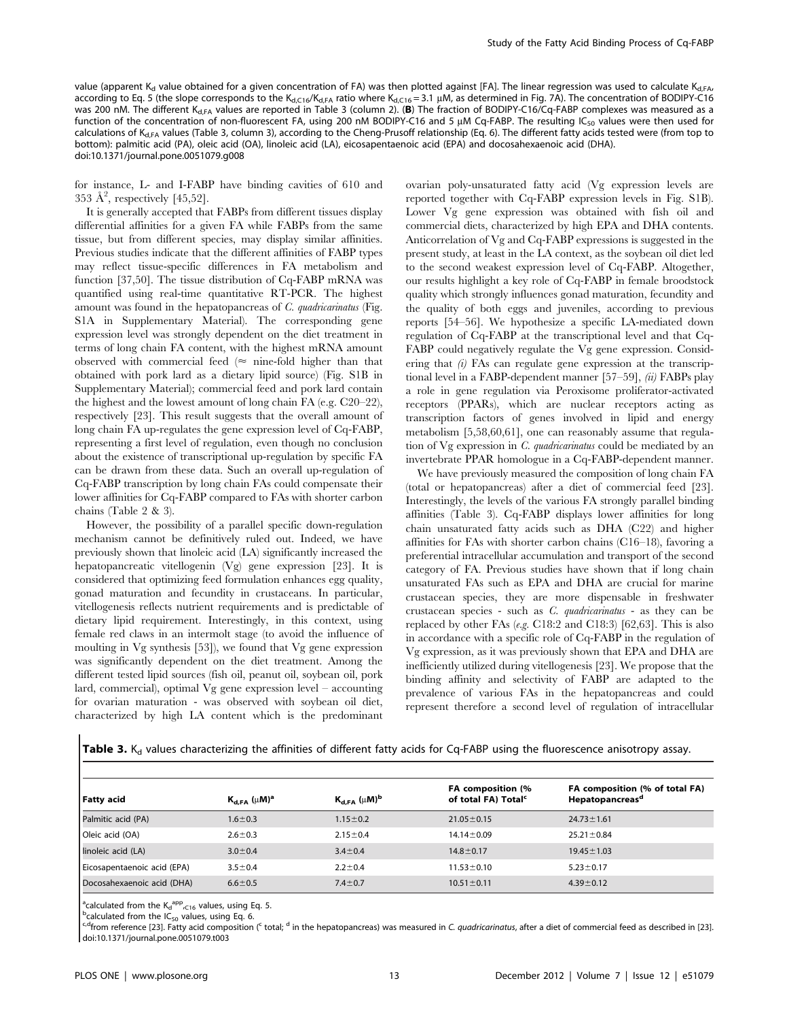value (apparent K<sub>d</sub> value obtained for a given concentration of FA) was then plotted against [FA]. The linear regression was used to calculate K<sub>d FA</sub>, according to Eq. 5 (the slope corresponds to the K<sub>d,C16</sub>/K<sub>d,FA</sub> ratio where K<sub>d,C16</sub> = 3.1 µM, as determined in Fig. 7A). The concentration of BODIPY-C16 was 200 nM. The different K<sub>d,FA</sub> values are reported in Table 3 (column 2). (B) The fraction of BODIPY-C16/Cq-FABP complexes was measured as a function of the concentration of non-fluorescent FA, using 200 nM BODIPY-C16 and 5  $\mu$ M Cq-FABP. The resulting IC<sub>50</sub> values were then used for calculations of K<sub>d,FA</sub> values (Table 3, column 3), according to the Cheng-Prusoff relationship (Eq. 6). The different fatty acids tested were (from top to bottom): palmitic acid (PA), oleic acid (OA), linoleic acid (LA), eicosapentaenoic acid (EPA) and docosahexaenoic acid (DHA). doi:10.1371/journal.pone.0051079.g008

for instance, L- and I-FABP have binding cavities of 610 and 353  $\AA^2$ , respectively [45,52].

It is generally accepted that FABPs from different tissues display differential affinities for a given FA while FABPs from the same tissue, but from different species, may display similar affinities. Previous studies indicate that the different affinities of FABP types may reflect tissue-specific differences in FA metabolism and function [37,50]. The tissue distribution of Cq-FABP mRNA was quantified using real-time quantitative RT-PCR. The highest amount was found in the hepatopancreas of  $C$ . quadricarinatus (Fig. S1A in Supplementary Material). The corresponding gene expression level was strongly dependent on the diet treatment in terms of long chain FA content, with the highest mRNA amount observed with commercial feed  $(\approx$  nine-fold higher than that obtained with pork lard as a dietary lipid source) (Fig. S1B in Supplementary Material); commercial feed and pork lard contain the highest and the lowest amount of long chain FA (e.g. C20–22), respectively [23]. This result suggests that the overall amount of long chain FA up-regulates the gene expression level of Cq-FABP, representing a first level of regulation, even though no conclusion about the existence of transcriptional up-regulation by specific FA can be drawn from these data. Such an overall up-regulation of Cq-FABP transcription by long chain FAs could compensate their lower affinities for Cq-FABP compared to FAs with shorter carbon chains (Table 2 & 3).

However, the possibility of a parallel specific down-regulation mechanism cannot be definitively ruled out. Indeed, we have previously shown that linoleic acid (LA) significantly increased the hepatopancreatic vitellogenin (Vg) gene expression [23]. It is considered that optimizing feed formulation enhances egg quality, gonad maturation and fecundity in crustaceans. In particular, vitellogenesis reflects nutrient requirements and is predictable of dietary lipid requirement. Interestingly, in this context, using female red claws in an intermolt stage (to avoid the influence of moulting in Vg synthesis [53]), we found that Vg gene expression was significantly dependent on the diet treatment. Among the different tested lipid sources (fish oil, peanut oil, soybean oil, pork lard, commercial), optimal Vg gene expression level – accounting for ovarian maturation - was observed with soybean oil diet, characterized by high LA content which is the predominant

ovarian poly-unsaturated fatty acid (Vg expression levels are reported together with Cq-FABP expression levels in Fig. S1B). Lower Vg gene expression was obtained with fish oil and commercial diets, characterized by high EPA and DHA contents. Anticorrelation of Vg and Cq-FABP expressions is suggested in the present study, at least in the LA context, as the soybean oil diet led to the second weakest expression level of Cq-FABP. Altogether, our results highlight a key role of Cq-FABP in female broodstock quality which strongly influences gonad maturation, fecundity and the quality of both eggs and juveniles, according to previous reports [54–56]. We hypothesize a specific LA-mediated down regulation of Cq-FABP at the transcriptional level and that Cq-FABP could negatively regulate the Vg gene expression. Considering that  $(i)$  FAs can regulate gene expression at the transcriptional level in a FABP-dependent manner  $[57-59]$ ,  $(ii)$  FABPs play a role in gene regulation via Peroxisome proliferator-activated receptors (PPARs), which are nuclear receptors acting as transcription factors of genes involved in lipid and energy metabolism [5,58,60,61], one can reasonably assume that regulation of Vg expression in C. quadricarinatus could be mediated by an invertebrate PPAR homologue in a Cq-FABP-dependent manner.

We have previously measured the composition of long chain FA (total or hepatopancreas) after a diet of commercial feed [23]. Interestingly, the levels of the various FA strongly parallel binding affinities (Table 3). Cq-FABP displays lower affinities for long chain unsaturated fatty acids such as DHA (C22) and higher affinities for FAs with shorter carbon chains (C16–18), favoring a preferential intracellular accumulation and transport of the second category of FA. Previous studies have shown that if long chain unsaturated FAs such as EPA and DHA are crucial for marine crustacean species, they are more dispensable in freshwater crustacean species - such as C. quadricarinatus - as they can be replaced by other FAs (e.g.  $C18:2$  and  $C18:3$ ) [62,63]. This is also in accordance with a specific role of Cq-FABP in the regulation of Vg expression, as it was previously shown that EPA and DHA are inefficiently utilized during vitellogenesis [23]. We propose that the binding affinity and selectivity of FABP are adapted to the prevalence of various FAs in the hepatopancreas and could represent therefore a second level of regulation of intracellular

| <b>Table 3.</b> K <sub>d</sub> values characterizing the affinities of different fatty acids for Cq-FABP using the fluorescence anisotropy assay. |  |  |
|---------------------------------------------------------------------------------------------------------------------------------------------------|--|--|
|---------------------------------------------------------------------------------------------------------------------------------------------------|--|--|

| Fatty acid                  | $K_{d,FA}(\mu M)^a$ | $K_{d,FA}(\mu M)^b$ | FA composition (%<br>of total FA) Total <sup>c</sup> | FA composition (% of total FA)<br>Hepatopancreas <sup>a</sup> |
|-----------------------------|---------------------|---------------------|------------------------------------------------------|---------------------------------------------------------------|
| Palmitic acid (PA)          | $1.6 \pm 0.3$       | $1.15 \pm 0.2$      | $21.05 \pm 0.15$                                     | $24.73 \pm 1.61$                                              |
| Oleic acid (OA)             | $2.6 \pm 0.3$       | $2.15 \pm 0.4$      | $14.14 \pm 0.09$                                     | $25.21 \pm 0.84$                                              |
| linoleic acid (LA)          | $3.0 \pm 0.4$       | $3.4 \pm 0.4$       | $14.8 \pm 0.17$                                      | $19.45 \pm 1.03$                                              |
| Eicosapentaenoic acid (EPA) | $3.5 \pm 0.4$       | $2.2 \pm 0.4$       | $11.53 \pm 0.10$                                     | $5.23 \pm 0.17$                                               |
| Docosahexaenoic acid (DHA)  | $6.6 \pm 0.5$       | $7.4 \pm 0.7$       | $10.51 \pm 0.11$                                     | $4.39 \pm 0.12$                                               |

<sup>a</sup>calculated from the  $K_d^{app}$ ,  $C16$  values, using Eq. 5.<br>begleaded from the IC values using Eq. 6.

<sup>b</sup>calculated from the IC<sub>50</sub> values, using Eq. 6.<br><sup>c,d</sup>from reference [23]. Fatty acid composition (<sup>c</sup> total; <sup>d</sup> in the hepatopancreas) was measured in C. *quadricarinatus,* after a diet of commercial feed as described doi:10.1371/journal.pone.0051079.t003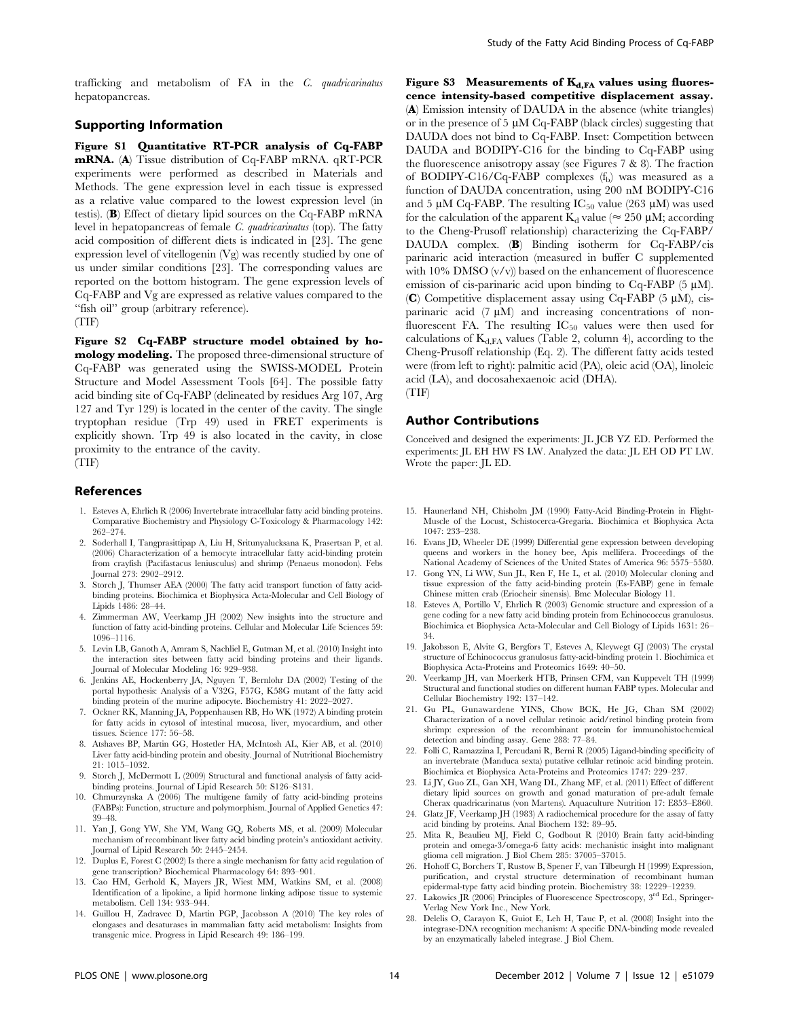trafficking and metabolism of FA in the C. quadricarinatus hepatopancreas.

### Supporting Information

Figure S1 Quantitative RT-PCR analysis of Cq-FABP mRNA. (A) Tissue distribution of Cq-FABP mRNA. qRT-PCR experiments were performed as described in Materials and Methods. The gene expression level in each tissue is expressed as a relative value compared to the lowest expression level (in testis). (B) Effect of dietary lipid sources on the Cq-FABP mRNA level in hepatopancreas of female C. quadricarinatus (top). The fatty acid composition of different diets is indicated in [23]. The gene expression level of vitellogenin (Vg) was recently studied by one of us under similar conditions [23]. The corresponding values are reported on the bottom histogram. The gene expression levels of Cq-FABP and Vg are expressed as relative values compared to the ''fish oil'' group (arbitrary reference). (TIF)

Figure S2 Cq-FABP structure model obtained by homology modeling. The proposed three-dimensional structure of Cq-FABP was generated using the SWISS-MODEL Protein Structure and Model Assessment Tools [64]. The possible fatty acid binding site of Cq-FABP (delineated by residues Arg 107, Arg 127 and Tyr 129) is located in the center of the cavity. The single tryptophan residue (Trp 49) used in FRET experiments is explicitly shown. Trp 49 is also located in the cavity, in close proximity to the entrance of the cavity.

(TIF)

#### References

- 1. Esteves A, Ehrlich R (2006) Invertebrate intracellular fatty acid binding proteins. Comparative Biochemistry and Physiology C-Toxicology & Pharmacology 142: 262–274.
- 2. Soderhall I, Tangprasittipap A, Liu H, Sritunyalucksana K, Prasertsan P, et al. (2006) Characterization of a hemocyte intracellular fatty acid-binding protein from crayfish (Pacifastacus leniusculus) and shrimp (Penaeus monodon). Febs Journal 273: 2902–2912.
- 3. Storch J, Thumser AEA (2000) The fatty acid transport function of fatty acidbinding proteins. Biochimica et Biophysica Acta-Molecular and Cell Biology of Lipids 1486: 28–44.
- 4. Zimmerman AW, Veerkamp JH (2002) New insights into the structure and function of fatty acid-binding proteins. Cellular and Molecular Life Sciences 59: 1096–1116.
- 5. Levin LB, Ganoth A, Amram S, Nachliel E, Gutman M, et al. (2010) Insight into the interaction sites between fatty acid binding proteins and their ligands. Journal of Molecular Modeling 16: 929–938.
- 6. Jenkins AE, Hockenberry JA, Nguyen T, Bernlohr DA (2002) Testing of the portal hypothesis: Analysis of a V32G, F57G, K58G mutant of the fatty acid binding protein of the murine adipocyte. Biochemistry 41: 2022–2027.
- 7. Ockner RK, Manning JA, Poppenhausen RB, Ho WK (1972) A binding protein for fatty acids in cytosol of intestinal mucosa, liver, myocardium, and other tissues. Science 177: 56–58.
- 8. Atshaves BP, Martin GG, Hostetler HA, McIntosh AL, Kier AB, et al. (2010) Liver fatty acid-binding protein and obesity. Journal of Nutritional Biochemistry 21: 1015–1032.
- 9. Storch J, McDermott L (2009) Structural and functional analysis of fatty acidbinding proteins. Journal of Lipid Research 50: S126–S131.
- 10. Chmurzynska A (2006) The multigene family of fatty acid-binding proteins (FABPs): Function, structure and polymorphism. Journal of Applied Genetics 47: 39–48.
- 11. Yan J, Gong YW, She YM, Wang GQ, Roberts MS, et al. (2009) Molecular mechanism of recombinant liver fatty acid binding protein's antioxidant activity. Journal of Lipid Research 50: 2445–2454.
- 12. Duplus E, Forest C (2002) Is there a single mechanism for fatty acid regulation of gene transcription? Biochemical Pharmacology 64: 893–901.
- 13. Cao HM, Gerhold K, Mayers JR, Wiest MM, Watkins SM, et al. (2008) Identification of a lipokine, a lipid hormone linking adipose tissue to systemic metabolism. Cell 134: 933–944.
- 14. Guillou H, Zadravec D, Martin PGP, Jacobsson A (2010) The key roles of elongases and desaturases in mammalian fatty acid metabolism: Insights from transgenic mice. Progress in Lipid Research 49: 186–199.

Figure S3 Measurements of  $K_{d,FA}$  values using fluorescence intensity-based competitive displacement assay. (A) Emission intensity of DAUDA in the absence (white triangles) or in the presence of  $5 \mu M$  Cq-FABP (black circles) suggesting that DAUDA does not bind to Cq-FABP. Inset: Competition between DAUDA and BODIPY-C16 for the binding to Cq-FABP using the fluorescence anisotropy assay (see Figures 7 & 8). The fraction of BODIPY-C16/Cq-FABP complexes  $(f_b)$  was measured as a function of DAUDA concentration, using 200 nM BODIPY-C16 and 5 µM Cq-FABP. The resulting  $IC_{50}$  value (263 µM) was used for the calculation of the apparent  $K_d$  value ( $\approx 250 \mu M$ ; according to the Cheng-Prusoff relationship) characterizing the Cq-FABP/ DAUDA complex. (B) Binding isotherm for Cq-FABP/cis parinaric acid interaction (measured in buffer C supplemented with  $10\%$  DMSO  $(v/v)$  based on the enhancement of fluorescence emission of cis-parinaric acid upon binding to  $C_q$ -FABP (5  $\mu$ M). (C) Competitive displacement assay using Cq-FABP  $(5 \mu M)$ , cisparinaric acid  $(7 \mu M)$  and increasing concentrations of nonfluorescent FA. The resulting  $IC_{50}$  values were then used for calculations of  $K_{d,FA}$  values (Table 2, column 4), according to the Cheng-Prusoff relationship (Eq. 2). The different fatty acids tested were (from left to right): palmitic acid (PA), oleic acid (OA), linoleic acid (LA), and docosahexaenoic acid (DHA). (TIF)

### Author Contributions

Conceived and designed the experiments: JL JCB YZ ED. Performed the experiments: JL EH HW FS LW. Analyzed the data: JL EH OD PT LW. Wrote the paper: JL ED.

- 15. Haunerland NH, Chisholm JM (1990) Fatty-Acid Binding-Protein in Flight-Muscle of the Locust, Schistocerca-Gregaria. Biochimica et Biophysica Acta 1047: 233–238.
- 16. Evans JD, Wheeler DE (1999) Differential gene expression between developing queens and workers in the honey bee, Apis mellifera. Proceedings of the National Academy of Sciences of the United States of America 96: 5575–5580.
- 17. Gong YN, Li WW, Sun JL, Ren F, He L, et al. (2010) Molecular cloning and tissue expression of the fatty acid-binding protein (Es-FABP) gene in female Chinese mitten crab (Eriocheir sinensis). Bmc Molecular Biology 11.
- 18. Esteves A, Portillo V, Ehrlich R (2003) Genomic structure and expression of a gene coding for a new fatty acid binding protein from Echinococcus granulosus. Biochimica et Biophysica Acta-Molecular and Cell Biology of Lipids 1631: 26– 34.
- 19. Jakobsson E, Alvite G, Bergfors T, Esteves A, Kleywegt GJ (2003) The crystal structure of Echinococcus granulosus fatty-acid-binding protein 1. Biochimica et Biophysica Acta-Proteins and Proteomics 1649: 40–50.
- 20. Veerkamp JH, van Moerkerk HTB, Prinsen CFM, van Kuppevelt TH (1999) Structural and functional studies on different human FABP types. Molecular and Cellular Biochemistry 192: 137–142.
- 21. Gu PL, Gunawardene YINS, Chow BCK, He JG, Chan SM (2002) Characterization of a novel cellular retinoic acid/retinol binding protein from shrimp: expression of the recombinant protein for immunohistochemical detection and binding assay. Gene 288: 77–84.
- 22. Folli C, Ramazzina I, Percudani R, Berni R (2005) Ligand-binding specificity of an invertebrate (Manduca sexta) putative cellular retinoic acid binding protein. Biochimica et Biophysica Acta-Proteins and Proteomics 1747: 229–237.
- 23. Li JY, Guo ZL, Gan XH, Wang DL, Zhang MF, et al. (2011) Effect of different dietary lipid sources on growth and gonad maturation of pre-adult female Cherax quadricarinatus (von Martens). Aquaculture Nutrition 17: E853–E860.
- 24. Glatz JF, Veerkamp JH (1983) A radiochemical procedure for the assay of fatty acid binding by proteins. Anal Biochem 132: 89–95.
- 25. Mita R, Beaulieu MJ, Field C, Godbout R (2010) Brain fatty acid-binding protein and omega-3/omega-6 fatty acids: mechanistic insight into malignant glioma cell migration. J Biol Chem 285: 37005–37015.
- 26. Hohoff C, Borchers T, Rustow B, Spener F, van Tilbeurgh H (1999) Expression, purification, and crystal structure determination of recombinant human epidermal-type fatty acid binding protein. Biochemistry 38: 12229–12239.
- 27. Lakowics JR (2006) Principles of Fluorescence Spectroscopy, 3rd Ed., Springer-Verlag New York Inc., New York.
- 28. Delelis O, Carayon K, Guiot E, Leh H, Tauc P, et al. (2008) Insight into the integrase-DNA recognition mechanism: A specific DNA-binding mode revealed by an enzymatically labeled integrase. J Biol Chem.